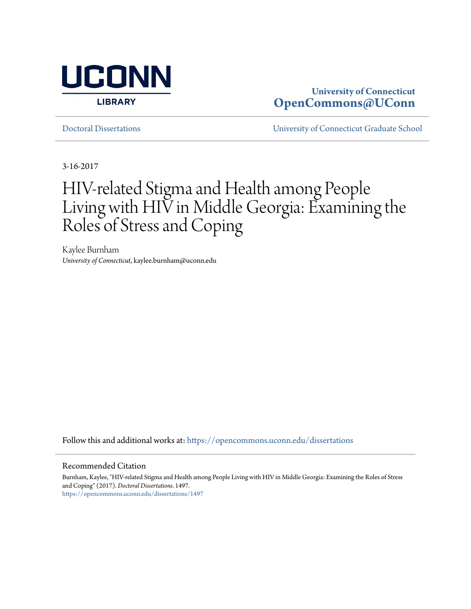

# **University of Connecticut [OpenCommons@UConn](https://opencommons.uconn.edu?utm_source=opencommons.uconn.edu%2Fdissertations%2F1497&utm_medium=PDF&utm_campaign=PDFCoverPages)**

[Doctoral Dissertations](https://opencommons.uconn.edu/dissertations?utm_source=opencommons.uconn.edu%2Fdissertations%2F1497&utm_medium=PDF&utm_campaign=PDFCoverPages) [University of Connecticut Graduate School](https://opencommons.uconn.edu/gs?utm_source=opencommons.uconn.edu%2Fdissertations%2F1497&utm_medium=PDF&utm_campaign=PDFCoverPages)

3-16-2017

# HIV-related Stigma and Health among People Living with HIV in Middle Georgia: Examining the Roles of Stress and Coping

Kaylee Burnham *University of Connecticut*, kaylee.burnham@uconn.edu

Follow this and additional works at: [https://opencommons.uconn.edu/dissertations](https://opencommons.uconn.edu/dissertations?utm_source=opencommons.uconn.edu%2Fdissertations%2F1497&utm_medium=PDF&utm_campaign=PDFCoverPages)

#### Recommended Citation

Burnham, Kaylee, "HIV-related Stigma and Health among People Living with HIV in Middle Georgia: Examining the Roles of Stress and Coping" (2017). *Doctoral Dissertations*. 1497. [https://opencommons.uconn.edu/dissertations/1497](https://opencommons.uconn.edu/dissertations/1497?utm_source=opencommons.uconn.edu%2Fdissertations%2F1497&utm_medium=PDF&utm_campaign=PDFCoverPages)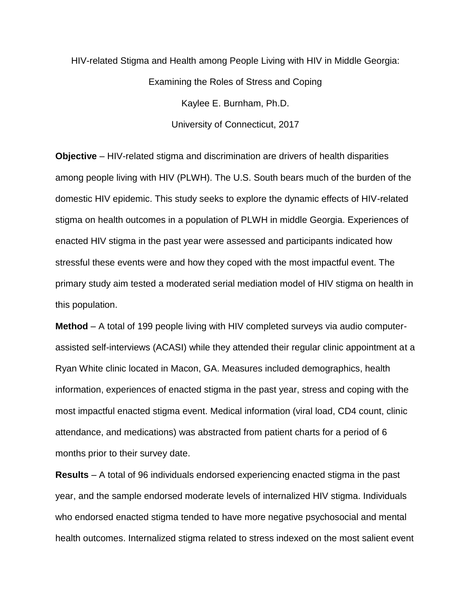HIV-related Stigma and Health among People Living with HIV in Middle Georgia: Examining the Roles of Stress and Coping Kaylee E. Burnham, Ph.D. University of Connecticut, 2017

**Objective** – HIV-related stigma and discrimination are drivers of health disparities among people living with HIV (PLWH). The U.S. South bears much of the burden of the domestic HIV epidemic. This study seeks to explore the dynamic effects of HIV-related stigma on health outcomes in a population of PLWH in middle Georgia. Experiences of enacted HIV stigma in the past year were assessed and participants indicated how stressful these events were and how they coped with the most impactful event. The primary study aim tested a moderated serial mediation model of HIV stigma on health in this population.

**Method** – A total of 199 people living with HIV completed surveys via audio computerassisted self-interviews (ACASI) while they attended their regular clinic appointment at a Ryan White clinic located in Macon, GA. Measures included demographics, health information, experiences of enacted stigma in the past year, stress and coping with the most impactful enacted stigma event. Medical information (viral load, CD4 count, clinic attendance, and medications) was abstracted from patient charts for a period of 6 months prior to their survey date.

**Results** – A total of 96 individuals endorsed experiencing enacted stigma in the past year, and the sample endorsed moderate levels of internalized HIV stigma. Individuals who endorsed enacted stigma tended to have more negative psychosocial and mental health outcomes. Internalized stigma related to stress indexed on the most salient event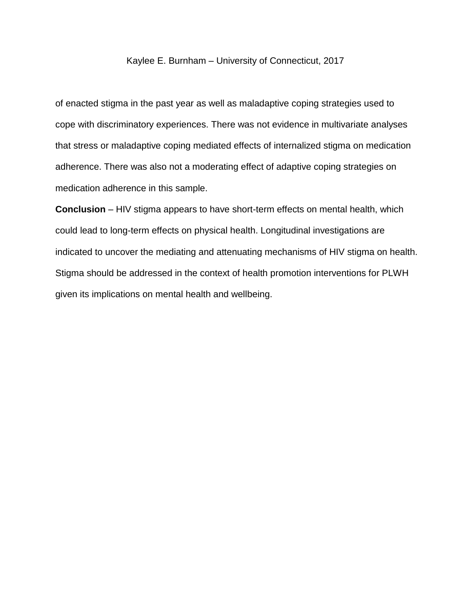## Kaylee E. Burnham – University of Connecticut, 2017

of enacted stigma in the past year as well as maladaptive coping strategies used to cope with discriminatory experiences. There was not evidence in multivariate analyses that stress or maladaptive coping mediated effects of internalized stigma on medication adherence. There was also not a moderating effect of adaptive coping strategies on medication adherence in this sample.

**Conclusion** – HIV stigma appears to have short-term effects on mental health, which could lead to long-term effects on physical health. Longitudinal investigations are indicated to uncover the mediating and attenuating mechanisms of HIV stigma on health. Stigma should be addressed in the context of health promotion interventions for PLWH given its implications on mental health and wellbeing.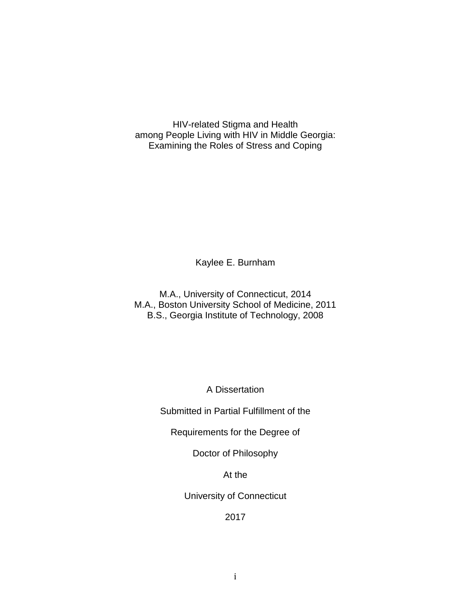HIV-related Stigma and Health among People Living with HIV in Middle Georgia: Examining the Roles of Stress and Coping

Kaylee E. Burnham

M.A., University of Connecticut, 2014 M.A., Boston University School of Medicine, 2011 B.S., Georgia Institute of Technology, 2008

A Dissertation

Submitted in Partial Fulfillment of the

Requirements for the Degree of

Doctor of Philosophy

At the

University of Connecticut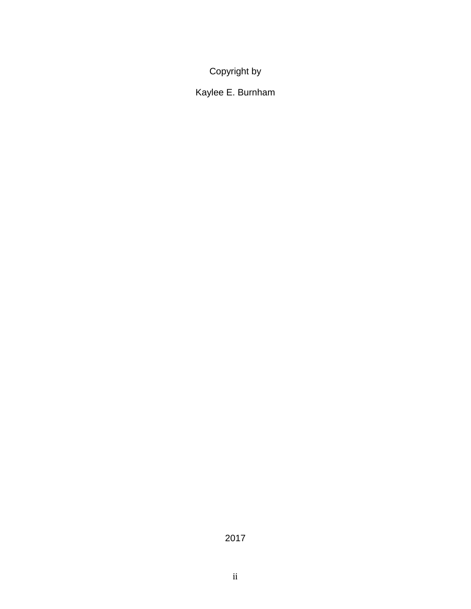Copyright by

Kaylee E. Burnham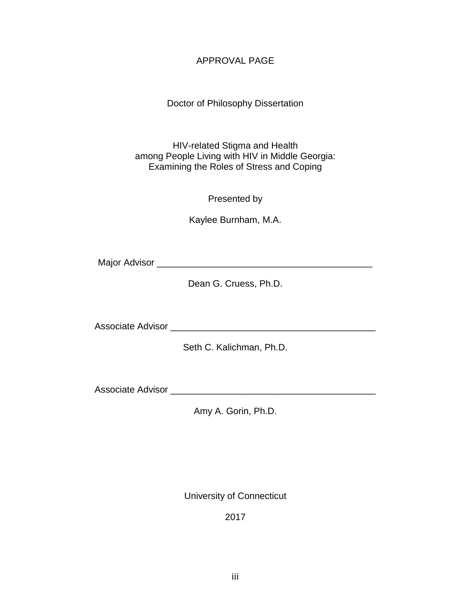# APPROVAL PAGE

# Doctor of Philosophy Dissertation

HIV-related Stigma and Health among People Living with HIV in Middle Georgia: Examining the Roles of Stress and Coping

Presented by

Kaylee Burnham, M.A.

Major Advisor \_\_\_\_\_\_\_\_\_\_\_\_\_\_\_\_\_\_\_\_\_\_\_\_\_\_\_\_\_\_\_\_\_\_\_\_\_\_\_\_\_\_

Dean G. Cruess, Ph.D.

Associate Advisor **Associate** Advisor

Seth C. Kalichman, Ph.D.

Associate Advisor \_\_\_\_\_\_\_\_\_\_\_\_\_\_\_\_\_\_\_\_\_\_\_\_\_\_\_\_\_\_\_\_\_\_\_\_\_\_\_\_

Amy A. Gorin, Ph.D.

University of Connecticut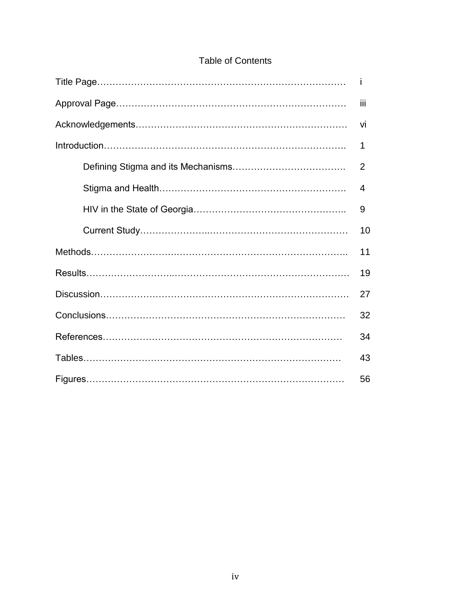| <b>Table of Contents</b> |
|--------------------------|
|--------------------------|

| Ť              |
|----------------|
| Ϊij            |
| vi             |
| 1              |
| $\overline{2}$ |
| 4              |
| 9              |
| 10             |
| 11             |
| 19             |
| 27             |
| 32             |
| 34             |
| 43             |
| 56             |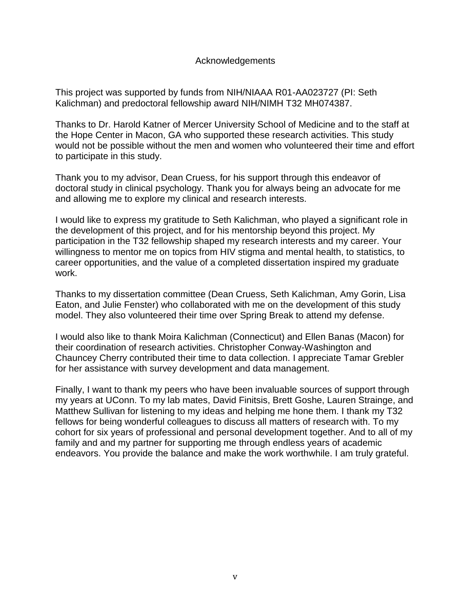# Acknowledgements

This project was supported by funds from NIH/NIAAA R01-AA023727 (PI: Seth Kalichman) and predoctoral fellowship award NIH/NIMH T32 MH074387.

Thanks to Dr. Harold Katner of Mercer University School of Medicine and to the staff at the Hope Center in Macon, GA who supported these research activities. This study would not be possible without the men and women who volunteered their time and effort to participate in this study.

Thank you to my advisor, Dean Cruess, for his support through this endeavor of doctoral study in clinical psychology. Thank you for always being an advocate for me and allowing me to explore my clinical and research interests.

I would like to express my gratitude to Seth Kalichman, who played a significant role in the development of this project, and for his mentorship beyond this project. My participation in the T32 fellowship shaped my research interests and my career. Your willingness to mentor me on topics from HIV stigma and mental health, to statistics, to career opportunities, and the value of a completed dissertation inspired my graduate work.

Thanks to my dissertation committee (Dean Cruess, Seth Kalichman, Amy Gorin, Lisa Eaton, and Julie Fenster) who collaborated with me on the development of this study model. They also volunteered their time over Spring Break to attend my defense.

I would also like to thank Moira Kalichman (Connecticut) and Ellen Banas (Macon) for their coordination of research activities. Christopher Conway-Washington and Chauncey Cherry contributed their time to data collection. I appreciate Tamar Grebler for her assistance with survey development and data management.

Finally, I want to thank my peers who have been invaluable sources of support through my years at UConn. To my lab mates, David Finitsis, Brett Goshe, Lauren Strainge, and Matthew Sullivan for listening to my ideas and helping me hone them. I thank my T32 fellows for being wonderful colleagues to discuss all matters of research with. To my cohort for six years of professional and personal development together. And to all of my family and and my partner for supporting me through endless years of academic endeavors. You provide the balance and make the work worthwhile. I am truly grateful.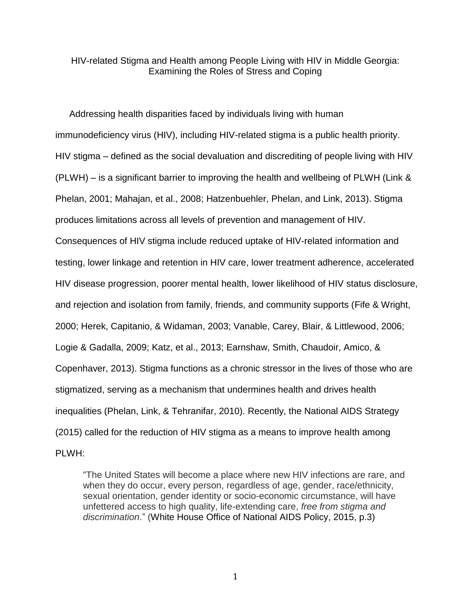HIV-related Stigma and Health among People Living with HIV in Middle Georgia: Examining the Roles of Stress and Coping

Addressing health disparities faced by individuals living with human immunodeficiency virus (HIV), including HIV-related stigma is a public health priority. HIV stigma – defined as the social devaluation and discrediting of people living with HIV (PLWH) – is a significant barrier to improving the health and wellbeing of PLWH (Link & Phelan, 2001; Mahajan, et al., 2008; Hatzenbuehler, Phelan, and Link, 2013). Stigma produces limitations across all levels of prevention and management of HIV. Consequences of HIV stigma include reduced uptake of HIV-related information and testing, lower linkage and retention in HIV care, lower treatment adherence, accelerated HIV disease progression, poorer mental health, lower likelihood of HIV status disclosure, and rejection and isolation from family, friends, and community supports (Fife & Wright, 2000; Herek, Capitanio, & Widaman, 2003; Vanable, Carey, Blair, & Littlewood, 2006; Logie & Gadalla, 2009; Katz, et al., 2013; Earnshaw, Smith, Chaudoir, Amico, & Copenhaver, 2013). Stigma functions as a chronic stressor in the lives of those who are stigmatized, serving as a mechanism that undermines health and drives health inequalities (Phelan, Link, & Tehranifar, 2010). Recently, the National AIDS Strategy (2015) called for the reduction of HIV stigma as a means to improve health among PLWH:

"The United States will become a place where new HIV infections are rare, and when they do occur, every person, regardless of age, gender, race/ethnicity, sexual orientation, gender identity or socio-economic circumstance, will have unfettered access to high quality, life-extending care, *free from stigma and discrimination*." (White House Office of [National](http://www.sciencedirect.com.ezproxy.lib.uconn.edu/science/article/pii/S1055329015001971#bib6) AIDS Policy, 2015, p.3)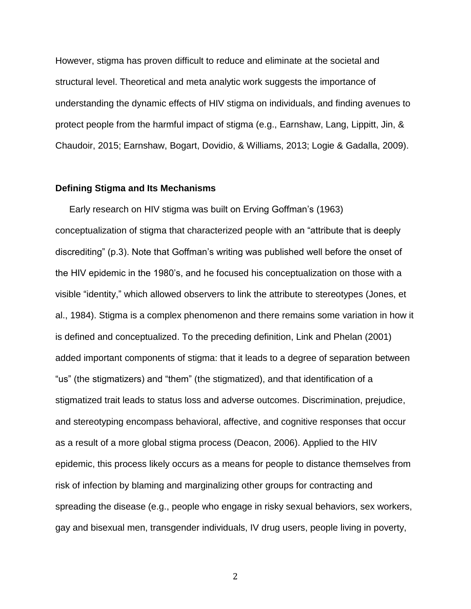However, stigma has proven difficult to reduce and eliminate at the societal and structural level. Theoretical and meta analytic work suggests the importance of understanding the dynamic effects of HIV stigma on individuals, and finding avenues to protect people from the harmful impact of stigma (e.g., Earnshaw, Lang, Lippitt, Jin, & Chaudoir, 2015; Earnshaw, Bogart, Dovidio, & Williams, 2013; Logie & Gadalla, 2009).

#### **Defining Stigma and Its Mechanisms**

Early research on HIV stigma was built on Erving Goffman's (1963) conceptualization of stigma that characterized people with an "attribute that is deeply discrediting" (p.3). Note that Goffman's writing was published well before the onset of the HIV epidemic in the 1980's, and he focused his conceptualization on those with a visible "identity," which allowed observers to link the attribute to stereotypes (Jones, et al., 1984). Stigma is a complex phenomenon and there remains some variation in how it is defined and conceptualized. To the preceding definition, Link and Phelan (2001) added important components of stigma: that it leads to a degree of separation between "us" (the stigmatizers) and "them" (the stigmatized), and that identification of a stigmatized trait leads to status loss and adverse outcomes. Discrimination, prejudice, and stereotyping encompass behavioral, affective, and cognitive responses that occur as a result of a more global stigma process (Deacon, 2006). Applied to the HIV epidemic, this process likely occurs as a means for people to distance themselves from risk of infection by blaming and marginalizing other groups for contracting and spreading the disease (e.g., people who engage in risky sexual behaviors, sex workers, gay and bisexual men, transgender individuals, IV drug users, people living in poverty,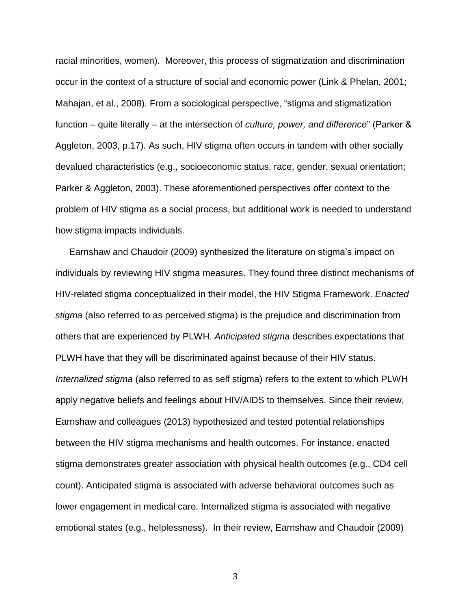racial minorities, women). Moreover, this process of stigmatization and discrimination occur in the context of a structure of social and economic power (Link & Phelan, 2001; Mahajan, et al., 2008). From a sociological perspective, "stigma and stigmatization function – quite literally – at the intersection of *culture, power, and difference*" (Parker & Aggleton, 2003, p.17). As such, HIV stigma often occurs in tandem with other socially devalued characteristics (e.g., socioeconomic status, race, gender, sexual orientation; Parker & Aggleton, 2003). These aforementioned perspectives offer context to the problem of HIV stigma as a social process, but additional work is needed to understand how stigma impacts individuals.

Earnshaw and Chaudoir (2009) synthesized the literature on stigma's impact on individuals by reviewing HIV stigma measures. They found three distinct mechanisms of HIV-related stigma conceptualized in their model, the HIV Stigma Framework. *Enacted stigma* (also referred to as perceived stigma) is the prejudice and discrimination from others that are experienced by PLWH. *Anticipated stigma* describes expectations that PLWH have that they will be discriminated against because of their HIV status. *Internalized stigma* (also referred to as self stigma) refers to the extent to which PLWH apply negative beliefs and feelings about HIV/AIDS to themselves. Since their review, Earnshaw and colleagues (2013) hypothesized and tested potential relationships between the HIV stigma mechanisms and health outcomes. For instance, enacted stigma demonstrates greater association with physical health outcomes (e.g., CD4 cell count). Anticipated stigma is associated with adverse behavioral outcomes such as lower engagement in medical care. Internalized stigma is associated with negative emotional states (e.g., helplessness). In their review, Earnshaw and Chaudoir (2009)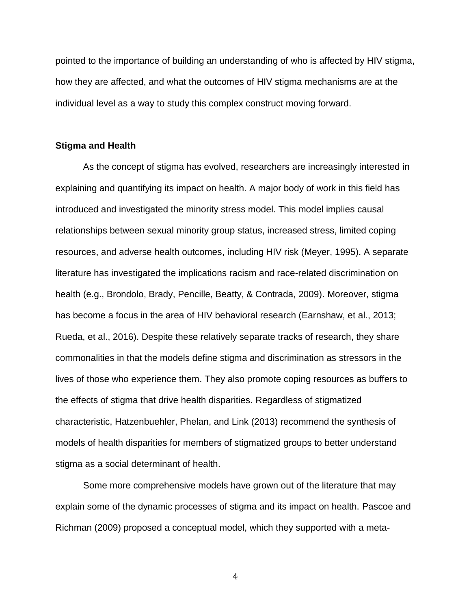pointed to the importance of building an understanding of who is affected by HIV stigma, how they are affected, and what the outcomes of HIV stigma mechanisms are at the individual level as a way to study this complex construct moving forward.

#### **Stigma and Health**

As the concept of stigma has evolved, researchers are increasingly interested in explaining and quantifying its impact on health. A major body of work in this field has introduced and investigated the minority stress model. This model implies causal relationships between sexual minority group status, increased stress, limited coping resources, and adverse health outcomes, including HIV risk (Meyer, 1995). A separate literature has investigated the implications racism and race-related discrimination on health (e.g., Brondolo, Brady, Pencille, Beatty, & Contrada, 2009). Moreover, stigma has become a focus in the area of HIV behavioral research (Earnshaw, et al., 2013; Rueda, et al., 2016). Despite these relatively separate tracks of research, they share commonalities in that the models define stigma and discrimination as stressors in the lives of those who experience them. They also promote coping resources as buffers to the effects of stigma that drive health disparities. Regardless of stigmatized characteristic, Hatzenbuehler, Phelan, and Link (2013) recommend the synthesis of models of health disparities for members of stigmatized groups to better understand stigma as a social determinant of health.

Some more comprehensive models have grown out of the literature that may explain some of the dynamic processes of stigma and its impact on health. Pascoe and Richman (2009) proposed a conceptual model, which they supported with a meta-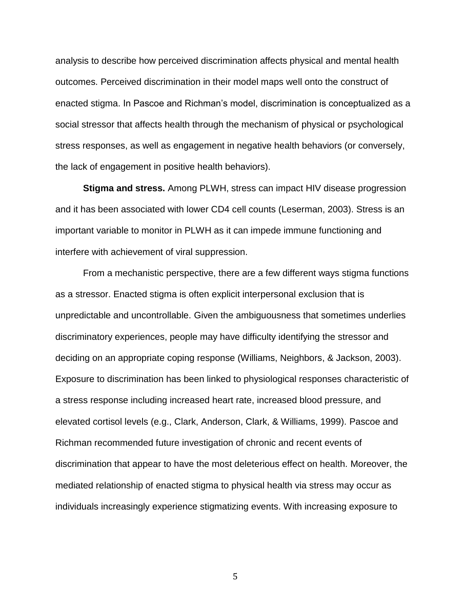analysis to describe how perceived discrimination affects physical and mental health outcomes. Perceived discrimination in their model maps well onto the construct of enacted stigma. In Pascoe and Richman's model, discrimination is conceptualized as a social stressor that affects health through the mechanism of physical or psychological stress responses, as well as engagement in negative health behaviors (or conversely, the lack of engagement in positive health behaviors).

**Stigma and stress.** Among PLWH, stress can impact HIV disease progression and it has been associated with lower CD4 cell counts (Leserman, 2003). Stress is an important variable to monitor in PLWH as it can impede immune functioning and interfere with achievement of viral suppression.

From a mechanistic perspective, there are a few different ways stigma functions as a stressor. Enacted stigma is often explicit interpersonal exclusion that is unpredictable and uncontrollable. Given the ambiguousness that sometimes underlies discriminatory experiences, people may have difficulty identifying the stressor and deciding on an appropriate coping response (Williams, Neighbors, & Jackson, 2003). Exposure to discrimination has been linked to physiological responses characteristic of a stress response including increased heart rate, increased blood pressure, and elevated cortisol levels (e.g., Clark, Anderson, Clark, & Williams, 1999). Pascoe and Richman recommended future investigation of chronic and recent events of discrimination that appear to have the most deleterious effect on health. Moreover, the mediated relationship of enacted stigma to physical health via stress may occur as individuals increasingly experience stigmatizing events. With increasing exposure to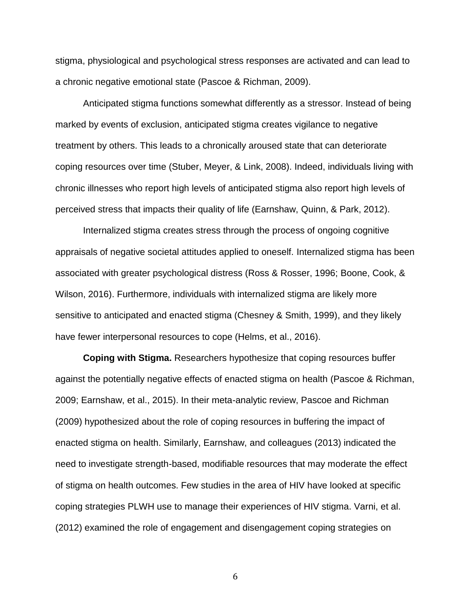stigma, physiological and psychological stress responses are activated and can lead to a chronic negative emotional state (Pascoe & Richman, 2009).

Anticipated stigma functions somewhat differently as a stressor. Instead of being marked by events of exclusion, anticipated stigma creates vigilance to negative treatment by others. This leads to a chronically aroused state that can deteriorate coping resources over time (Stuber, Meyer, & Link, 2008). Indeed, individuals living with chronic illnesses who report high levels of anticipated stigma also report high levels of perceived stress that impacts their quality of life (Earnshaw, Quinn, & Park, 2012).

Internalized stigma creates stress through the process of ongoing cognitive appraisals of negative societal attitudes applied to oneself. Internalized stigma has been associated with greater psychological distress (Ross & Rosser, 1996; Boone, Cook, & Wilson, 2016). Furthermore, individuals with internalized stigma are likely more sensitive to anticipated and enacted stigma (Chesney & Smith, 1999), and they likely have fewer interpersonal resources to cope (Helms, et al., 2016).

**Coping with Stigma.** Researchers hypothesize that coping resources buffer against the potentially negative effects of enacted stigma on health (Pascoe & Richman, 2009; Earnshaw, et al., 2015). In their meta-analytic review, Pascoe and Richman (2009) hypothesized about the role of coping resources in buffering the impact of enacted stigma on health. Similarly, Earnshaw, and colleagues (2013) indicated the need to investigate strength-based, modifiable resources that may moderate the effect of stigma on health outcomes. Few studies in the area of HIV have looked at specific coping strategies PLWH use to manage their experiences of HIV stigma. Varni, et al. (2012) examined the role of engagement and disengagement coping strategies on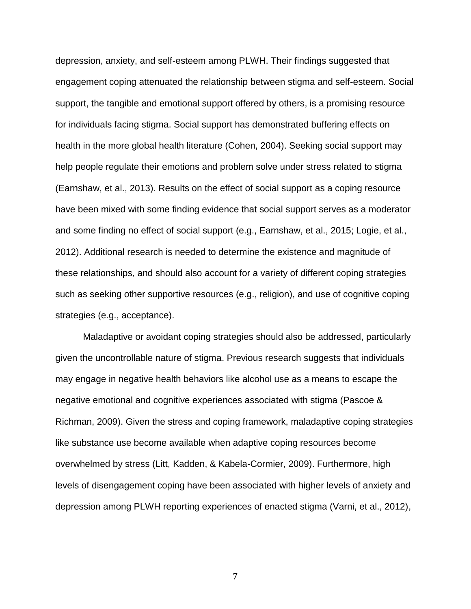depression, anxiety, and self-esteem among PLWH. Their findings suggested that engagement coping attenuated the relationship between stigma and self-esteem. Social support, the tangible and emotional support offered by others, is a promising resource for individuals facing stigma. Social support has demonstrated buffering effects on health in the more global health literature (Cohen, 2004). Seeking social support may help people regulate their emotions and problem solve under stress related to stigma (Earnshaw, et al., 2013). Results on the effect of social support as a coping resource have been mixed with some finding evidence that social support serves as a moderator and some finding no effect of social support (e.g., Earnshaw, et al., 2015; Logie, et al., 2012). Additional research is needed to determine the existence and magnitude of these relationships, and should also account for a variety of different coping strategies such as seeking other supportive resources (e.g., religion), and use of cognitive coping strategies (e.g., acceptance).

Maladaptive or avoidant coping strategies should also be addressed, particularly given the uncontrollable nature of stigma. Previous research suggests that individuals may engage in negative health behaviors like alcohol use as a means to escape the negative emotional and cognitive experiences associated with stigma (Pascoe & Richman, 2009). Given the stress and coping framework, maladaptive coping strategies like substance use become available when adaptive coping resources become overwhelmed by stress (Litt, Kadden, & Kabela-Cormier, 2009). Furthermore, high levels of disengagement coping have been associated with higher levels of anxiety and depression among PLWH reporting experiences of enacted stigma (Varni, et al., 2012),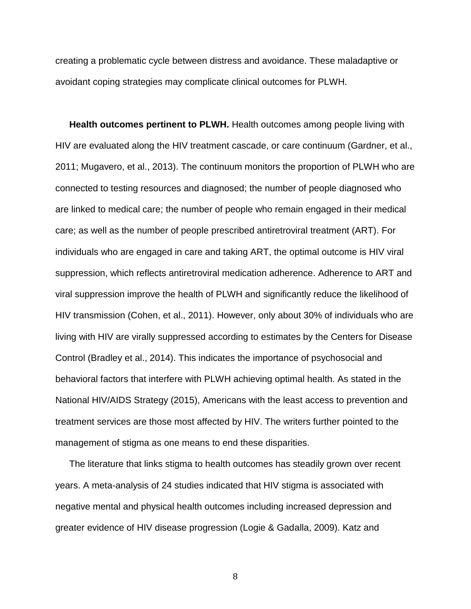creating a problematic cycle between distress and avoidance. These maladaptive or avoidant coping strategies may complicate clinical outcomes for PLWH.

**Health outcomes pertinent to PLWH.** Health outcomes among people living with HIV are evaluated along the HIV treatment cascade, or care continuum (Gardner, et al., 2011; Mugavero, et al., 2013). The continuum monitors the proportion of PLWH who are connected to testing resources and diagnosed; the number of people diagnosed who are linked to medical care; the number of people who remain engaged in their medical care; as well as the number of people prescribed antiretroviral treatment (ART). For individuals who are engaged in care and taking ART, the optimal outcome is HIV viral suppression, which reflects antiretroviral medication adherence. Adherence to ART and viral suppression improve the health of PLWH and significantly reduce the likelihood of HIV transmission (Cohen, et al., 2011). However, only about 30% of individuals who are living with HIV are virally suppressed according to estimates by the Centers for Disease Control (Bradley et al., 2014). This indicates the importance of psychosocial and behavioral factors that interfere with PLWH achieving optimal health. As stated in the National HIV/AIDS Strategy (2015), Americans with the least access to prevention and treatment services are those most affected by HIV. The writers further pointed to the management of stigma as one means to end these disparities.

The literature that links stigma to health outcomes has steadily grown over recent years. A meta-analysis of 24 studies indicated that HIV stigma is associated with negative mental and physical health outcomes including increased depression and greater evidence of HIV disease progression (Logie & Gadalla, 2009). Katz and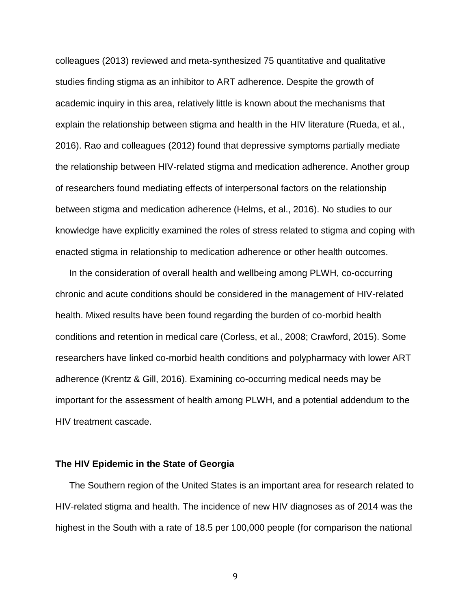colleagues (2013) reviewed and meta-synthesized 75 quantitative and qualitative studies finding stigma as an inhibitor to ART adherence. Despite the growth of academic inquiry in this area, relatively little is known about the mechanisms that explain the relationship between stigma and health in the HIV literature (Rueda, et al., 2016). Rao and colleagues (2012) found that depressive symptoms partially mediate the relationship between HIV-related stigma and medication adherence. Another group of researchers found mediating effects of interpersonal factors on the relationship between stigma and medication adherence (Helms, et al., 2016). No studies to our knowledge have explicitly examined the roles of stress related to stigma and coping with enacted stigma in relationship to medication adherence or other health outcomes.

In the consideration of overall health and wellbeing among PLWH, co-occurring chronic and acute conditions should be considered in the management of HIV-related health. Mixed results have been found regarding the burden of co-morbid health conditions and retention in medical care (Corless, et al., 2008; Crawford, 2015). Some researchers have linked co-morbid health conditions and polypharmacy with lower ART adherence (Krentz & Gill, 2016). Examining co-occurring medical needs may be important for the assessment of health among PLWH, and a potential addendum to the HIV treatment cascade.

## **The HIV Epidemic in the State of Georgia**

The Southern region of the United States is an important area for research related to HIV-related stigma and health. The incidence of new HIV diagnoses as of 2014 was the highest in the South with a rate of 18.5 per 100,000 people (for comparison the national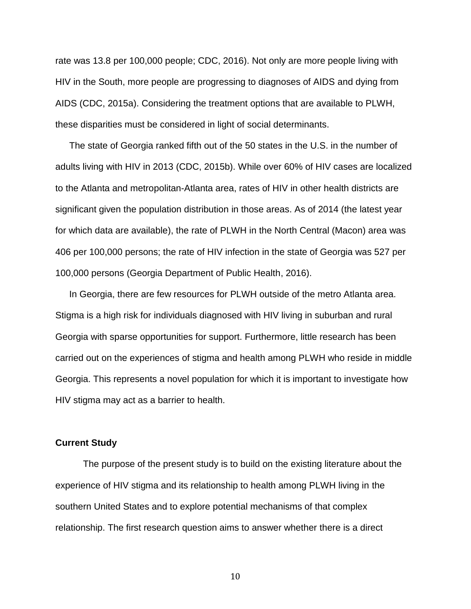rate was 13.8 per 100,000 people; CDC, 2016). Not only are more people living with HIV in the South, more people are progressing to diagnoses of AIDS and dying from AIDS (CDC, 2015a). Considering the treatment options that are available to PLWH, these disparities must be considered in light of social determinants.

The state of Georgia ranked fifth out of the 50 states in the U.S. in the number of adults living with HIV in 2013 (CDC, 2015b). While over 60% of HIV cases are localized to the Atlanta and metropolitan-Atlanta area, rates of HIV in other health districts are significant given the population distribution in those areas. As of 2014 (the latest year for which data are available), the rate of PLWH in the North Central (Macon) area was 406 per 100,000 persons; the rate of HIV infection in the state of Georgia was 527 per 100,000 persons (Georgia Department of Public Health, 2016).

In Georgia, there are few resources for PLWH outside of the metro Atlanta area. Stigma is a high risk for individuals diagnosed with HIV living in suburban and rural Georgia with sparse opportunities for support. Furthermore, little research has been carried out on the experiences of stigma and health among PLWH who reside in middle Georgia. This represents a novel population for which it is important to investigate how HIV stigma may act as a barrier to health.

#### **Current Study**

The purpose of the present study is to build on the existing literature about the experience of HIV stigma and its relationship to health among PLWH living in the southern United States and to explore potential mechanisms of that complex relationship. The first research question aims to answer whether there is a direct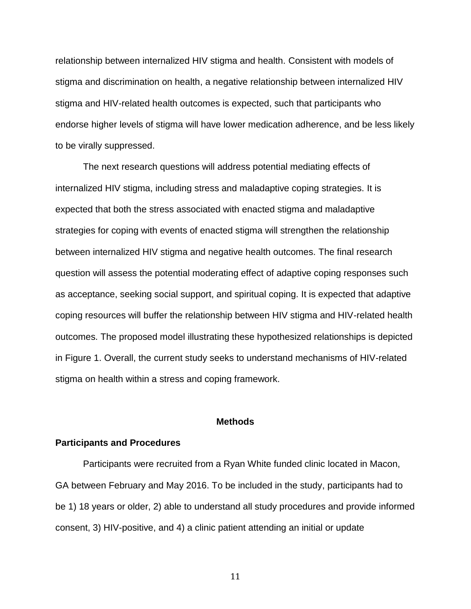relationship between internalized HIV stigma and health. Consistent with models of stigma and discrimination on health, a negative relationship between internalized HIV stigma and HIV-related health outcomes is expected, such that participants who endorse higher levels of stigma will have lower medication adherence, and be less likely to be virally suppressed.

The next research questions will address potential mediating effects of internalized HIV stigma, including stress and maladaptive coping strategies. It is expected that both the stress associated with enacted stigma and maladaptive strategies for coping with events of enacted stigma will strengthen the relationship between internalized HIV stigma and negative health outcomes. The final research question will assess the potential moderating effect of adaptive coping responses such as acceptance, seeking social support, and spiritual coping. It is expected that adaptive coping resources will buffer the relationship between HIV stigma and HIV-related health outcomes. The proposed model illustrating these hypothesized relationships is depicted in Figure 1. Overall, the current study seeks to understand mechanisms of HIV-related stigma on health within a stress and coping framework.

#### **Methods**

#### **Participants and Procedures**

Participants were recruited from a Ryan White funded clinic located in Macon, GA between February and May 2016. To be included in the study, participants had to be 1) 18 years or older, 2) able to understand all study procedures and provide informed consent, 3) HIV-positive, and 4) a clinic patient attending an initial or update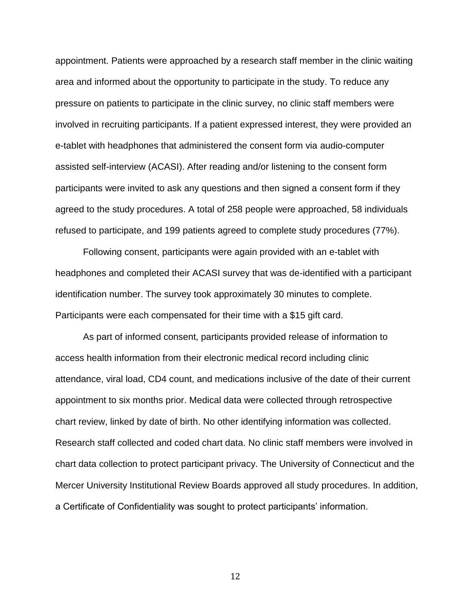appointment. Patients were approached by a research staff member in the clinic waiting area and informed about the opportunity to participate in the study. To reduce any pressure on patients to participate in the clinic survey, no clinic staff members were involved in recruiting participants. If a patient expressed interest, they were provided an e-tablet with headphones that administered the consent form via audio-computer assisted self-interview (ACASI). After reading and/or listening to the consent form participants were invited to ask any questions and then signed a consent form if they agreed to the study procedures. A total of 258 people were approached, 58 individuals refused to participate, and 199 patients agreed to complete study procedures (77%).

Following consent, participants were again provided with an e-tablet with headphones and completed their ACASI survey that was de-identified with a participant identification number. The survey took approximately 30 minutes to complete. Participants were each compensated for their time with a \$15 gift card.

As part of informed consent, participants provided release of information to access health information from their electronic medical record including clinic attendance, viral load, CD4 count, and medications inclusive of the date of their current appointment to six months prior. Medical data were collected through retrospective chart review, linked by date of birth. No other identifying information was collected. Research staff collected and coded chart data. No clinic staff members were involved in chart data collection to protect participant privacy. The University of Connecticut and the Mercer University Institutional Review Boards approved all study procedures. In addition, a Certificate of Confidentiality was sought to protect participants' information.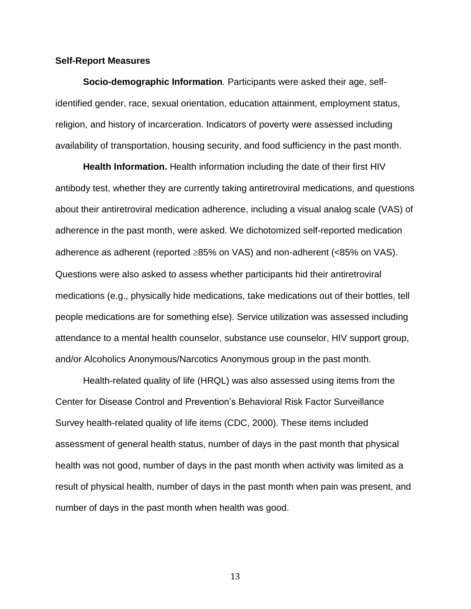#### **Self-Report Measures**

**Socio-demographic Information***.* Participants were asked their age, selfidentified gender, race, sexual orientation, education attainment, employment status, religion, and history of incarceration. Indicators of poverty were assessed including availability of transportation, housing security, and food sufficiency in the past month.

**Health Information.** Health information including the date of their first HIV antibody test, whether they are currently taking antiretroviral medications, and questions about their antiretroviral medication adherence, including a visual analog scale (VAS) of adherence in the past month, were asked. We dichotomized self-reported medication adherence as adherent (reported  $\geq$ 85% on VAS) and non-adherent (<85% on VAS). Questions were also asked to assess whether participants hid their antiretroviral medications (e.g., physically hide medications, take medications out of their bottles, tell people medications are for something else). Service utilization was assessed including attendance to a mental health counselor, substance use counselor, HIV support group, and/or Alcoholics Anonymous/Narcotics Anonymous group in the past month.

Health-related quality of life (HRQL) was also assessed using items from the Center for Disease Control and Prevention's Behavioral Risk Factor Surveillance Survey health-related quality of life items (CDC, 2000). These items included assessment of general health status, number of days in the past month that physical health was not good, number of days in the past month when activity was limited as a result of physical health, number of days in the past month when pain was present, and number of days in the past month when health was good.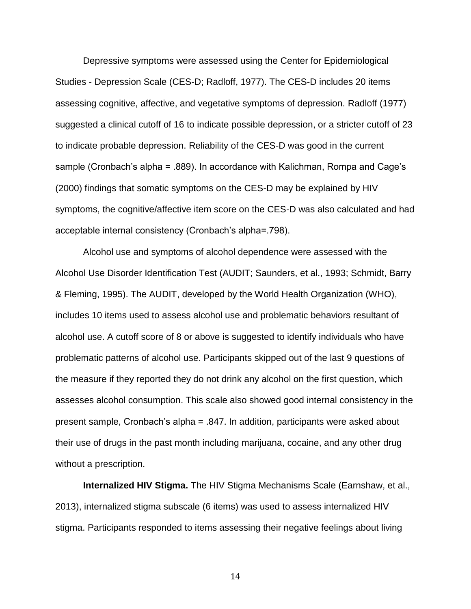Depressive symptoms were assessed using the Center for Epidemiological Studies - Depression Scale (CES-D; Radloff, 1977). The CES-D includes 20 items assessing cognitive, affective, and vegetative symptoms of depression. Radloff (1977) suggested a clinical cutoff of 16 to indicate possible depression, or a stricter cutoff of 23 to indicate probable depression. Reliability of the CES-D was good in the current sample (Cronbach's alpha = .889). In accordance with Kalichman, Rompa and Cage's (2000) findings that somatic symptoms on the CES-D may be explained by HIV symptoms, the cognitive/affective item score on the CES-D was also calculated and had acceptable internal consistency (Cronbach's alpha=.798).

Alcohol use and symptoms of alcohol dependence were assessed with the Alcohol Use Disorder Identification Test (AUDIT; Saunders, et al., 1993; Schmidt, Barry & Fleming, 1995). The AUDIT, developed by the World Health Organization (WHO), includes 10 items used to assess alcohol use and problematic behaviors resultant of alcohol use. A cutoff score of 8 or above is suggested to identify individuals who have problematic patterns of alcohol use. Participants skipped out of the last 9 questions of the measure if they reported they do not drink any alcohol on the first question, which assesses alcohol consumption. This scale also showed good internal consistency in the present sample, Cronbach's alpha = .847. In addition, participants were asked about their use of drugs in the past month including marijuana, cocaine, and any other drug without a prescription.

**Internalized HIV Stigma.** The HIV Stigma Mechanisms Scale (Earnshaw, et al., 2013), internalized stigma subscale (6 items) was used to assess internalized HIV stigma. Participants responded to items assessing their negative feelings about living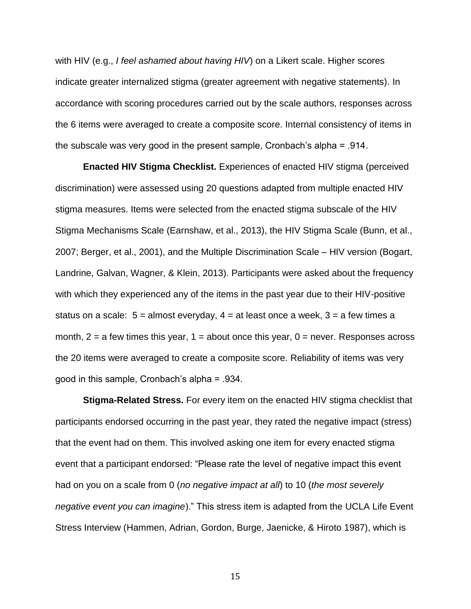with HIV (e.g., *I feel ashamed about having HIV*) on a Likert scale. Higher scores indicate greater internalized stigma (greater agreement with negative statements). In accordance with scoring procedures carried out by the scale authors, responses across the 6 items were averaged to create a composite score. Internal consistency of items in the subscale was very good in the present sample, Cronbach's alpha = .914.

**Enacted HIV Stigma Checklist.** Experiences of enacted HIV stigma (perceived discrimination) were assessed using 20 questions adapted from multiple enacted HIV stigma measures. Items were selected from the enacted stigma subscale of the HIV Stigma Mechanisms Scale (Earnshaw, et al., 2013), the HIV Stigma Scale (Bunn, et al., 2007; Berger, et al., 2001), and the Multiple Discrimination Scale – HIV version (Bogart, Landrine, Galvan, Wagner, & Klein, 2013). Participants were asked about the frequency with which they experienced any of the items in the past year due to their HIV-positive status on a scale:  $5 =$  almost everyday,  $4 =$  at least once a week,  $3 =$  a few times a month,  $2 = a$  few times this year,  $1 = about$  once this year,  $0 =$  never. Responses across the 20 items were averaged to create a composite score. Reliability of items was very good in this sample, Cronbach's alpha = .934.

**Stigma-Related Stress.** For every item on the enacted HIV stigma checklist that participants endorsed occurring in the past year, they rated the negative impact (stress) that the event had on them. This involved asking one item for every enacted stigma event that a participant endorsed: "Please rate the level of negative impact this event had on you on a scale from 0 (*no negative impact at all*) to 10 (*the most severely negative event you can imagine*)." This stress item is adapted from the UCLA Life Event Stress Interview (Hammen, Adrian, Gordon, Burge, Jaenicke, & Hiroto 1987), which is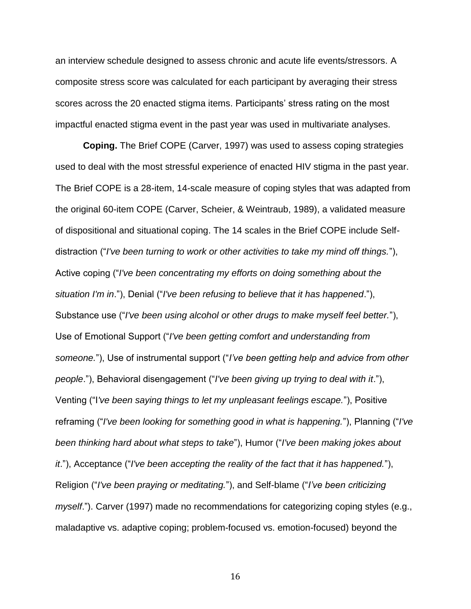an interview schedule designed to assess chronic and acute life events/stressors. A composite stress score was calculated for each participant by averaging their stress scores across the 20 enacted stigma items. Participants' stress rating on the most impactful enacted stigma event in the past year was used in multivariate analyses.

**Coping.** The Brief COPE (Carver, 1997) was used to assess coping strategies used to deal with the most stressful experience of enacted HIV stigma in the past year. The Brief COPE is a 28-item, 14-scale measure of coping styles that was adapted from the original 60-item COPE (Carver, Scheier, & Weintraub, 1989), a validated measure of dispositional and situational coping. The 14 scales in the Brief COPE include Selfdistraction ("*I've been turning to work or other activities to take my mind off things.*"), Active coping ("*I've been concentrating my efforts on doing something about the situation I'm in*."), Denial ("*I've been refusing to believe that it has happened*."), Substance use ("*I've been using alcohol or other drugs to make myself feel better.*"), Use of Emotional Support ("*I've been getting comfort and understanding from someone.*"), Use of instrumental support ("*I've been getting help and advice from other people*."), Behavioral disengagement ("*I've been giving up trying to deal with it*."), Venting ("I*'ve been saying things to let my unpleasant feelings escape.*"), Positive reframing ("*I've been looking for something good in what is happening.*"), Planning ("*I've been thinking hard about what steps to take*"), Humor ("*I've been making jokes about it*."), Acceptance ("*I've been accepting the reality of the fact that it has happened.*"), Religion ("*I've been praying or meditating.*"), and Self-blame ("*I've been criticizing myself*."). Carver (1997) made no recommendations for categorizing coping styles (e.g., maladaptive vs. adaptive coping; problem-focused vs. emotion-focused) beyond the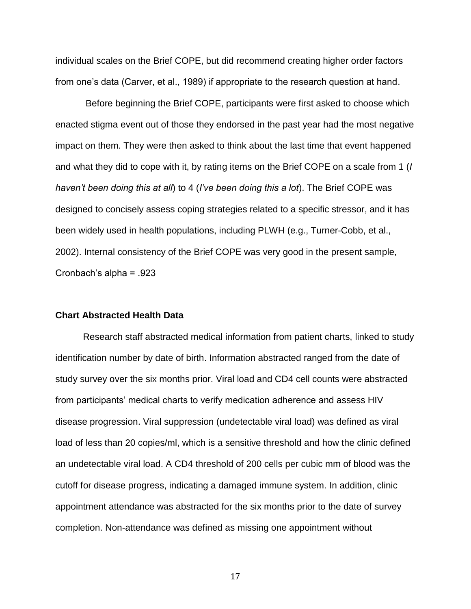individual scales on the Brief COPE, but did recommend creating higher order factors from one's data (Carver, et al., 1989) if appropriate to the research question at hand.

Before beginning the Brief COPE, participants were first asked to choose which enacted stigma event out of those they endorsed in the past year had the most negative impact on them. They were then asked to think about the last time that event happened and what they did to cope with it, by rating items on the Brief COPE on a scale from 1 (*I haven't been doing this at all*) to 4 (*I've been doing this a lot*). The Brief COPE was designed to concisely assess coping strategies related to a specific stressor, and it has been widely used in health populations, including PLWH (e.g., Turner-Cobb, et al., 2002). Internal consistency of the Brief COPE was very good in the present sample, Cronbach's alpha = .923

## **Chart Abstracted Health Data**

Research staff abstracted medical information from patient charts, linked to study identification number by date of birth. Information abstracted ranged from the date of study survey over the six months prior. Viral load and CD4 cell counts were abstracted from participants' medical charts to verify medication adherence and assess HIV disease progression. Viral suppression (undetectable viral load) was defined as viral load of less than 20 copies/ml, which is a sensitive threshold and how the clinic defined an undetectable viral load. A CD4 threshold of 200 cells per cubic mm of blood was the cutoff for disease progress, indicating a damaged immune system. In addition, clinic appointment attendance was abstracted for the six months prior to the date of survey completion. Non-attendance was defined as missing one appointment without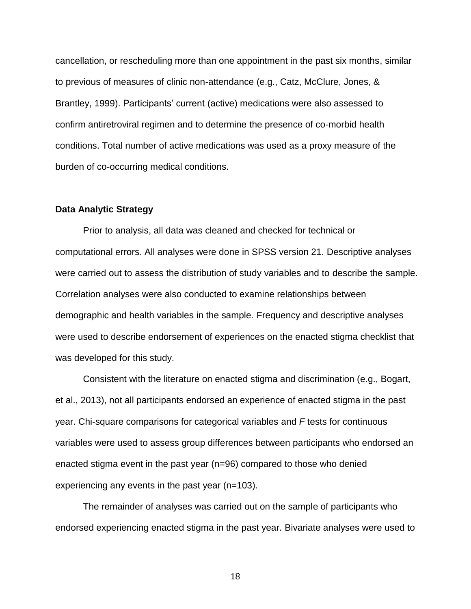cancellation, or rescheduling more than one appointment in the past six months, similar to previous of measures of clinic non-attendance (e.g., Catz, McClure, Jones, & Brantley, 1999). Participants' current (active) medications were also assessed to confirm antiretroviral regimen and to determine the presence of co-morbid health conditions. Total number of active medications was used as a proxy measure of the burden of co-occurring medical conditions.

## **Data Analytic Strategy**

Prior to analysis, all data was cleaned and checked for technical or computational errors. All analyses were done in SPSS version 21. Descriptive analyses were carried out to assess the distribution of study variables and to describe the sample. Correlation analyses were also conducted to examine relationships between demographic and health variables in the sample. Frequency and descriptive analyses were used to describe endorsement of experiences on the enacted stigma checklist that was developed for this study.

Consistent with the literature on enacted stigma and discrimination (e.g., Bogart, et al., 2013), not all participants endorsed an experience of enacted stigma in the past year. Chi-square comparisons for categorical variables and *F* tests for continuous variables were used to assess group differences between participants who endorsed an enacted stigma event in the past year (n=96) compared to those who denied experiencing any events in the past year (n=103).

The remainder of analyses was carried out on the sample of participants who endorsed experiencing enacted stigma in the past year. Bivariate analyses were used to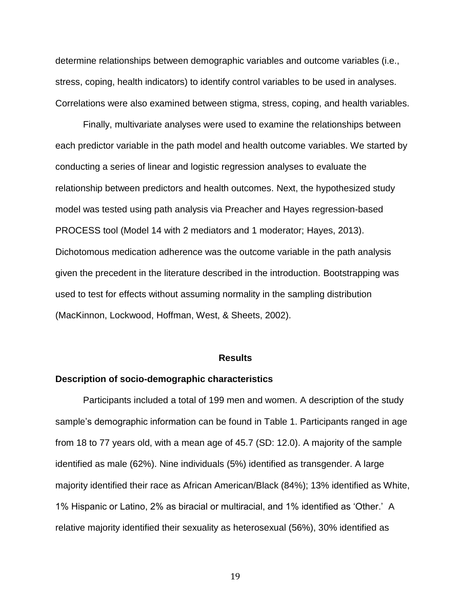determine relationships between demographic variables and outcome variables (i.e., stress, coping, health indicators) to identify control variables to be used in analyses. Correlations were also examined between stigma, stress, coping, and health variables.

Finally, multivariate analyses were used to examine the relationships between each predictor variable in the path model and health outcome variables. We started by conducting a series of linear and logistic regression analyses to evaluate the relationship between predictors and health outcomes. Next, the hypothesized study model was tested using path analysis via Preacher and Hayes regression-based PROCESS tool (Model 14 with 2 mediators and 1 moderator; Hayes, 2013). Dichotomous medication adherence was the outcome variable in the path analysis given the precedent in the literature described in the introduction. Bootstrapping was used to test for effects without assuming normality in the sampling distribution (MacKinnon, Lockwood, Hoffman, West, & Sheets, 2002).

#### **Results**

#### **Description of socio-demographic characteristics**

Participants included a total of 199 men and women. A description of the study sample's demographic information can be found in Table 1. Participants ranged in age from 18 to 77 years old, with a mean age of 45.7 (SD: 12.0). A majority of the sample identified as male (62%). Nine individuals (5%) identified as transgender. A large majority identified their race as African American/Black (84%); 13% identified as White, 1% Hispanic or Latino, 2% as biracial or multiracial, and 1% identified as 'Other.' A relative majority identified their sexuality as heterosexual (56%), 30% identified as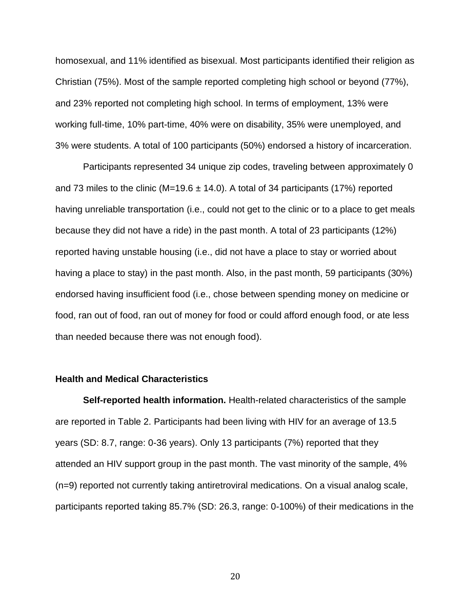homosexual, and 11% identified as bisexual. Most participants identified their religion as Christian (75%). Most of the sample reported completing high school or beyond (77%), and 23% reported not completing high school. In terms of employment, 13% were working full-time, 10% part-time, 40% were on disability, 35% were unemployed, and 3% were students. A total of 100 participants (50%) endorsed a history of incarceration.

Participants represented 34 unique zip codes, traveling between approximately 0 and 73 miles to the clinic ( $M=19.6 \pm 14.0$ ). A total of 34 participants (17%) reported having unreliable transportation (i.e., could not get to the clinic or to a place to get meals because they did not have a ride) in the past month. A total of 23 participants (12%) reported having unstable housing (i.e., did not have a place to stay or worried about having a place to stay) in the past month. Also, in the past month, 59 participants (30%) endorsed having insufficient food (i.e., chose between spending money on medicine or food, ran out of food, ran out of money for food or could afford enough food, or ate less than needed because there was not enough food).

# **Health and Medical Characteristics**

**Self-reported health information.** Health-related characteristics of the sample are reported in Table 2. Participants had been living with HIV for an average of 13.5 years (SD: 8.7, range: 0-36 years). Only 13 participants (7%) reported that they attended an HIV support group in the past month. The vast minority of the sample, 4% (n=9) reported not currently taking antiretroviral medications. On a visual analog scale, participants reported taking 85.7% (SD: 26.3, range: 0-100%) of their medications in the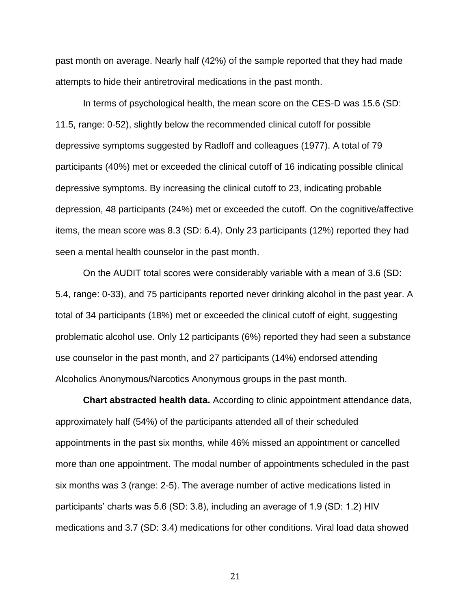past month on average. Nearly half (42%) of the sample reported that they had made attempts to hide their antiretroviral medications in the past month.

In terms of psychological health, the mean score on the CES-D was 15.6 (SD: 11.5, range: 0-52), slightly below the recommended clinical cutoff for possible depressive symptoms suggested by Radloff and colleagues (1977). A total of 79 participants (40%) met or exceeded the clinical cutoff of 16 indicating possible clinical depressive symptoms. By increasing the clinical cutoff to 23, indicating probable depression, 48 participants (24%) met or exceeded the cutoff. On the cognitive/affective items, the mean score was 8.3 (SD: 6.4). Only 23 participants (12%) reported they had seen a mental health counselor in the past month.

On the AUDIT total scores were considerably variable with a mean of 3.6 (SD: 5.4, range: 0-33), and 75 participants reported never drinking alcohol in the past year. A total of 34 participants (18%) met or exceeded the clinical cutoff of eight, suggesting problematic alcohol use. Only 12 participants (6%) reported they had seen a substance use counselor in the past month, and 27 participants (14%) endorsed attending Alcoholics Anonymous/Narcotics Anonymous groups in the past month.

**Chart abstracted health data.** According to clinic appointment attendance data, approximately half (54%) of the participants attended all of their scheduled appointments in the past six months, while 46% missed an appointment or cancelled more than one appointment. The modal number of appointments scheduled in the past six months was 3 (range: 2-5). The average number of active medications listed in participants' charts was 5.6 (SD: 3.8), including an average of 1.9 (SD: 1.2) HIV medications and 3.7 (SD: 3.4) medications for other conditions. Viral load data showed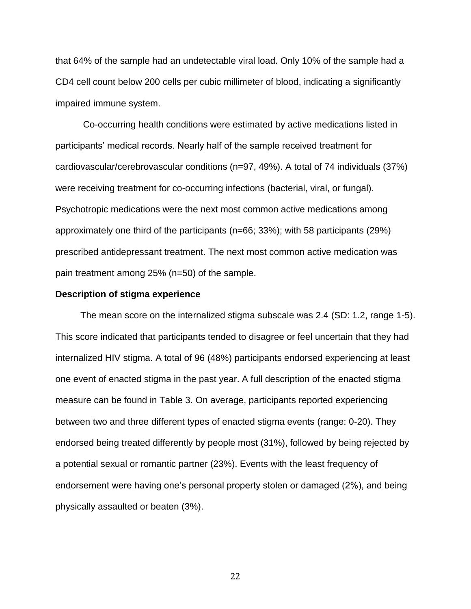that 64% of the sample had an undetectable viral load. Only 10% of the sample had a CD4 cell count below 200 cells per cubic millimeter of blood, indicating a significantly impaired immune system.

Co-occurring health conditions were estimated by active medications listed in participants' medical records. Nearly half of the sample received treatment for cardiovascular/cerebrovascular conditions (n=97, 49%). A total of 74 individuals (37%) were receiving treatment for co-occurring infections (bacterial, viral, or fungal). Psychotropic medications were the next most common active medications among approximately one third of the participants (n=66; 33%); with 58 participants (29%) prescribed antidepressant treatment. The next most common active medication was pain treatment among 25% (n=50) of the sample.

#### **Description of stigma experience**

The mean score on the internalized stigma subscale was 2.4 (SD: 1.2, range 1-5). This score indicated that participants tended to disagree or feel uncertain that they had internalized HIV stigma. A total of 96 (48%) participants endorsed experiencing at least one event of enacted stigma in the past year. A full description of the enacted stigma measure can be found in Table 3. On average, participants reported experiencing between two and three different types of enacted stigma events (range: 0-20). They endorsed being treated differently by people most (31%), followed by being rejected by a potential sexual or romantic partner (23%). Events with the least frequency of endorsement were having one's personal property stolen or damaged (2%), and being physically assaulted or beaten (3%).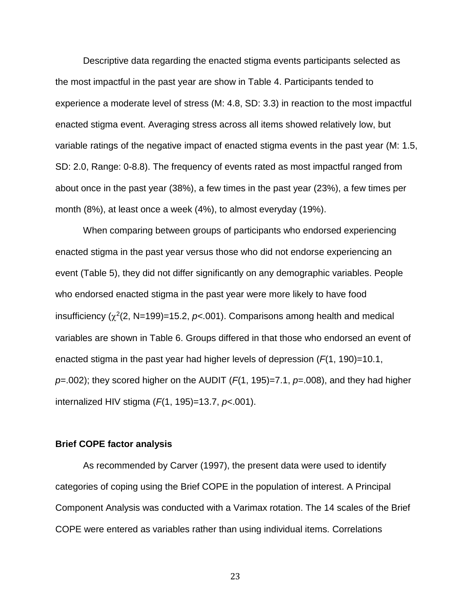Descriptive data regarding the enacted stigma events participants selected as the most impactful in the past year are show in Table 4. Participants tended to experience a moderate level of stress (M: 4.8, SD: 3.3) in reaction to the most impactful enacted stigma event. Averaging stress across all items showed relatively low, but variable ratings of the negative impact of enacted stigma events in the past year (M: 1.5, SD: 2.0, Range: 0-8.8). The frequency of events rated as most impactful ranged from about once in the past year (38%), a few times in the past year (23%), a few times per month (8%), at least once a week (4%), to almost everyday (19%).

When comparing between groups of participants who endorsed experiencing enacted stigma in the past year versus those who did not endorse experiencing an event (Table 5), they did not differ significantly on any demographic variables. People who endorsed enacted stigma in the past year were more likely to have food insufficiency  $(\chi^2(2, N=199)=15.2, p<.001)$ . Comparisons among health and medical variables are shown in Table 6. Groups differed in that those who endorsed an event of enacted stigma in the past year had higher levels of depression (*F*(1, 190)=10.1, *p*=.002); they scored higher on the AUDIT (*F*(1, 195)=7.1, *p*=.008), and they had higher internalized HIV stigma (*F*(1, 195)=13.7, *p*<.001).

# **Brief COPE factor analysis**

As recommended by Carver (1997), the present data were used to identify categories of coping using the Brief COPE in the population of interest. A Principal Component Analysis was conducted with a Varimax rotation. The 14 scales of the Brief COPE were entered as variables rather than using individual items. Correlations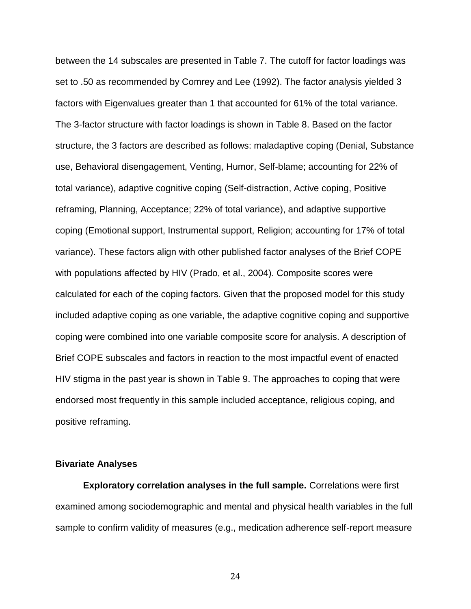between the 14 subscales are presented in Table 7. The cutoff for factor loadings was set to .50 as recommended by Comrey and Lee (1992). The factor analysis yielded 3 factors with Eigenvalues greater than 1 that accounted for 61% of the total variance. The 3-factor structure with factor loadings is shown in Table 8. Based on the factor structure, the 3 factors are described as follows: maladaptive coping (Denial, Substance use, Behavioral disengagement, Venting, Humor, Self-blame; accounting for 22% of total variance), adaptive cognitive coping (Self-distraction, Active coping, Positive reframing, Planning, Acceptance; 22% of total variance), and adaptive supportive coping (Emotional support, Instrumental support, Religion; accounting for 17% of total variance). These factors align with other published factor analyses of the Brief COPE with populations affected by HIV (Prado, et al., 2004). Composite scores were calculated for each of the coping factors. Given that the proposed model for this study included adaptive coping as one variable, the adaptive cognitive coping and supportive coping were combined into one variable composite score for analysis. A description of Brief COPE subscales and factors in reaction to the most impactful event of enacted HIV stigma in the past year is shown in Table 9. The approaches to coping that were endorsed most frequently in this sample included acceptance, religious coping, and positive reframing.

#### **Bivariate Analyses**

**Exploratory correlation analyses in the full sample.** Correlations were first examined among sociodemographic and mental and physical health variables in the full sample to confirm validity of measures (e.g., medication adherence self-report measure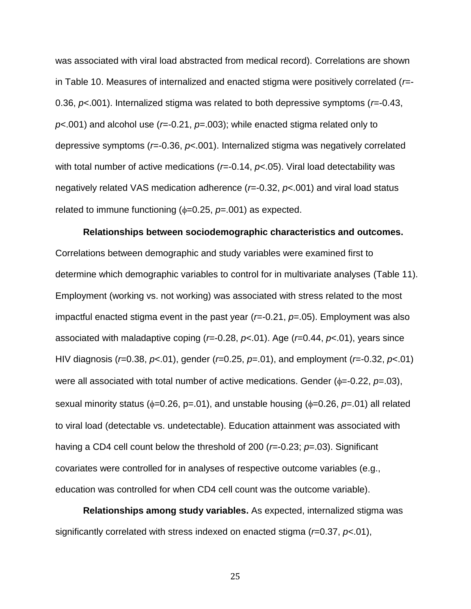was associated with viral load abstracted from medical record). Correlations are shown in Table 10. Measures of internalized and enacted stigma were positively correlated (*r*=- 0.36, *p*<.001). Internalized stigma was related to both depressive symptoms (*r*=-0.43, *p*<.001) and alcohol use (*r*=-0.21, *p*=.003); while enacted stigma related only to depressive symptoms (*r*=-0.36, *p*<.001). Internalized stigma was negatively correlated with total number of active medications ( $r=-0.14$ ,  $p<-0.05$ ). Viral load detectability was negatively related VAS medication adherence (*r*=-0.32, *p*<.001) and viral load status related to immune functioning  $(\phi=0.25, \rho=.001)$  as expected.

**Relationships between sociodemographic characteristics and outcomes.**  Correlations between demographic and study variables were examined first to determine which demographic variables to control for in multivariate analyses (Table 11). Employment (working vs. not working) was associated with stress related to the most impactful enacted stigma event in the past year (*r*=-0.21, *p*=.05). Employment was also associated with maladaptive coping (*r*=-0.28, *p*<.01). Age (*r*=0.44, *p*<.01), years since HIV diagnosis (*r*=0.38, *p*<.01), gender (*r*=0.25, *p*=.01), and employment (*r*=-0.32, *p*<.01) were all associated with total number of active medications. Gender  $(\phi = -0.22, p = 03)$ , sexual minority status ( $\phi$ =0.26, p=.01), and unstable housing ( $\phi$ =0.26, p=.01) all related to viral load (detectable vs. undetectable). Education attainment was associated with having a CD4 cell count below the threshold of 200 (*r*=-0.23; *p*=.03). Significant covariates were controlled for in analyses of respective outcome variables (e.g., education was controlled for when CD4 cell count was the outcome variable).

**Relationships among study variables.** As expected, internalized stigma was significantly correlated with stress indexed on enacted stigma (*r*=0.37, *p*<.01),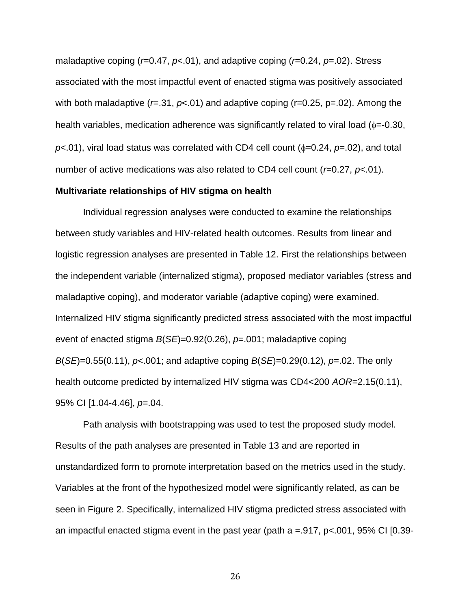maladaptive coping (*r*=0.47, *p*<.01), and adaptive coping (*r*=0.24, *p*=.02). Stress associated with the most impactful event of enacted stigma was positively associated with both maladaptive ( $r = .31$ ,  $p < .01$ ) and adaptive coping ( $r = 0.25$ ,  $p = .02$ ). Among the health variables, medication adherence was significantly related to viral load  $(\phi = -0.30)$ .  $p$ <.01), viral load status was correlated with CD4 cell count ( $\phi$ =0.24,  $p$ =.02), and total number of active medications was also related to CD4 cell count (*r*=0.27, *p*<.01).

# **Multivariate relationships of HIV stigma on health**

Individual regression analyses were conducted to examine the relationships between study variables and HIV-related health outcomes. Results from linear and logistic regression analyses are presented in Table 12. First the relationships between the independent variable (internalized stigma), proposed mediator variables (stress and maladaptive coping), and moderator variable (adaptive coping) were examined. Internalized HIV stigma significantly predicted stress associated with the most impactful event of enacted stigma *B*(*SE*)=0.92(0.26), *p*=.001; maladaptive coping *B*(*SE*)=0.55(0.11), *p*<.001; and adaptive coping *B*(*SE*)=0.29(0.12), *p*=.02. The only health outcome predicted by internalized HIV stigma was CD4<200 *AOR=*2.15(0.11), 95% CI [1.04-4.46], *p*=.04.

Path analysis with bootstrapping was used to test the proposed study model. Results of the path analyses are presented in Table 13 and are reported in unstandardized form to promote interpretation based on the metrics used in the study. Variables at the front of the hypothesized model were significantly related, as can be seen in Figure 2. Specifically, internalized HIV stigma predicted stress associated with an impactful enacted stigma event in the past year (path  $a = 917$ ,  $p < 001$ ,  $95\%$  CI [0.39-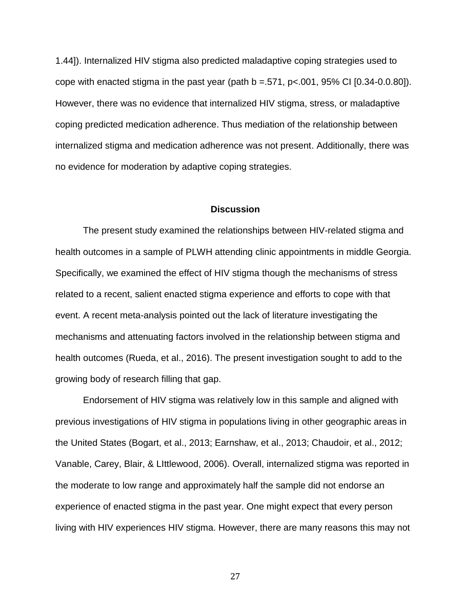1.44]). Internalized HIV stigma also predicted maladaptive coping strategies used to cope with enacted stigma in the past year (path  $b = .571$ ,  $p < .001$ ,  $95\%$  CI  $[0.34 - 0.0.80]$ ). However, there was no evidence that internalized HIV stigma, stress, or maladaptive coping predicted medication adherence. Thus mediation of the relationship between internalized stigma and medication adherence was not present. Additionally, there was no evidence for moderation by adaptive coping strategies.

## **Discussion**

The present study examined the relationships between HIV-related stigma and health outcomes in a sample of PLWH attending clinic appointments in middle Georgia. Specifically, we examined the effect of HIV stigma though the mechanisms of stress related to a recent, salient enacted stigma experience and efforts to cope with that event. A recent meta-analysis pointed out the lack of literature investigating the mechanisms and attenuating factors involved in the relationship between stigma and health outcomes (Rueda, et al., 2016). The present investigation sought to add to the growing body of research filling that gap.

Endorsement of HIV stigma was relatively low in this sample and aligned with previous investigations of HIV stigma in populations living in other geographic areas in the United States (Bogart, et al., 2013; Earnshaw, et al., 2013; Chaudoir, et al., 2012; Vanable, Carey, Blair, & LIttlewood, 2006). Overall, internalized stigma was reported in the moderate to low range and approximately half the sample did not endorse an experience of enacted stigma in the past year. One might expect that every person living with HIV experiences HIV stigma. However, there are many reasons this may not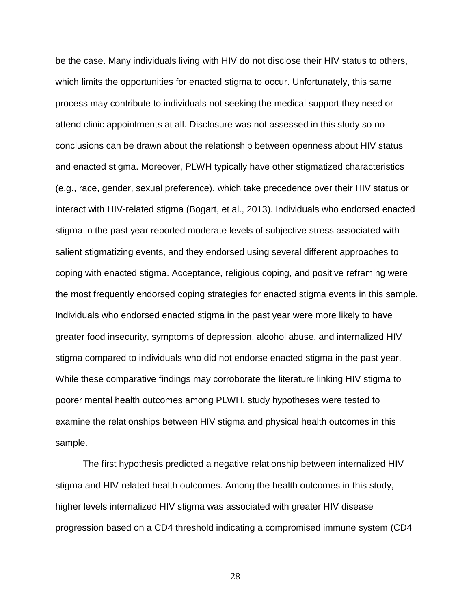be the case. Many individuals living with HIV do not disclose their HIV status to others, which limits the opportunities for enacted stigma to occur. Unfortunately, this same process may contribute to individuals not seeking the medical support they need or attend clinic appointments at all. Disclosure was not assessed in this study so no conclusions can be drawn about the relationship between openness about HIV status and enacted stigma. Moreover, PLWH typically have other stigmatized characteristics (e.g., race, gender, sexual preference), which take precedence over their HIV status or interact with HIV-related stigma (Bogart, et al., 2013). Individuals who endorsed enacted stigma in the past year reported moderate levels of subjective stress associated with salient stigmatizing events, and they endorsed using several different approaches to coping with enacted stigma. Acceptance, religious coping, and positive reframing were the most frequently endorsed coping strategies for enacted stigma events in this sample. Individuals who endorsed enacted stigma in the past year were more likely to have greater food insecurity, symptoms of depression, alcohol abuse, and internalized HIV stigma compared to individuals who did not endorse enacted stigma in the past year. While these comparative findings may corroborate the literature linking HIV stigma to poorer mental health outcomes among PLWH, study hypotheses were tested to examine the relationships between HIV stigma and physical health outcomes in this sample.

The first hypothesis predicted a negative relationship between internalized HIV stigma and HIV-related health outcomes. Among the health outcomes in this study, higher levels internalized HIV stigma was associated with greater HIV disease progression based on a CD4 threshold indicating a compromised immune system (CD4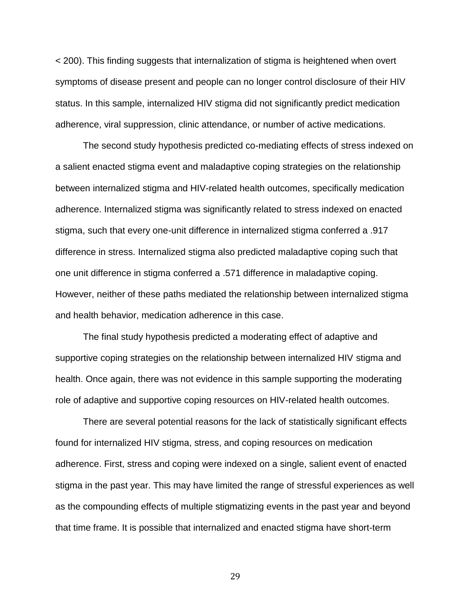< 200). This finding suggests that internalization of stigma is heightened when overt symptoms of disease present and people can no longer control disclosure of their HIV status. In this sample, internalized HIV stigma did not significantly predict medication adherence, viral suppression, clinic attendance, or number of active medications.

The second study hypothesis predicted co-mediating effects of stress indexed on a salient enacted stigma event and maladaptive coping strategies on the relationship between internalized stigma and HIV-related health outcomes, specifically medication adherence. Internalized stigma was significantly related to stress indexed on enacted stigma, such that every one-unit difference in internalized stigma conferred a .917 difference in stress. Internalized stigma also predicted maladaptive coping such that one unit difference in stigma conferred a .571 difference in maladaptive coping. However, neither of these paths mediated the relationship between internalized stigma and health behavior, medication adherence in this case.

The final study hypothesis predicted a moderating effect of adaptive and supportive coping strategies on the relationship between internalized HIV stigma and health. Once again, there was not evidence in this sample supporting the moderating role of adaptive and supportive coping resources on HIV-related health outcomes.

There are several potential reasons for the lack of statistically significant effects found for internalized HIV stigma, stress, and coping resources on medication adherence. First, stress and coping were indexed on a single, salient event of enacted stigma in the past year. This may have limited the range of stressful experiences as well as the compounding effects of multiple stigmatizing events in the past year and beyond that time frame. It is possible that internalized and enacted stigma have short-term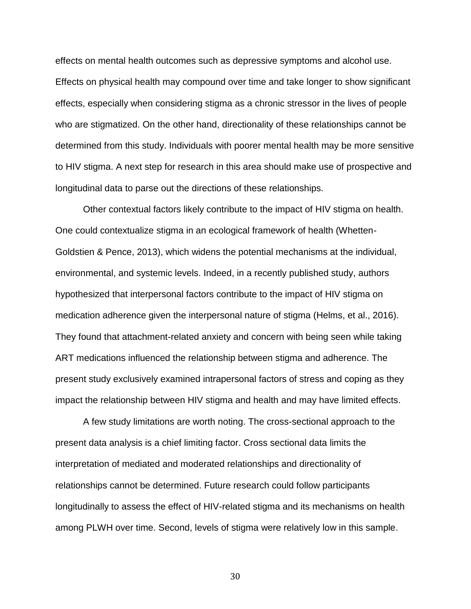effects on mental health outcomes such as depressive symptoms and alcohol use. Effects on physical health may compound over time and take longer to show significant effects, especially when considering stigma as a chronic stressor in the lives of people who are stigmatized. On the other hand, directionality of these relationships cannot be determined from this study. Individuals with poorer mental health may be more sensitive to HIV stigma. A next step for research in this area should make use of prospective and longitudinal data to parse out the directions of these relationships.

Other contextual factors likely contribute to the impact of HIV stigma on health. One could contextualize stigma in an ecological framework of health (Whetten-Goldstien & Pence, 2013), which widens the potential mechanisms at the individual, environmental, and systemic levels. Indeed, in a recently published study, authors hypothesized that interpersonal factors contribute to the impact of HIV stigma on medication adherence given the interpersonal nature of stigma (Helms, et al., 2016). They found that attachment-related anxiety and concern with being seen while taking ART medications influenced the relationship between stigma and adherence. The present study exclusively examined intrapersonal factors of stress and coping as they impact the relationship between HIV stigma and health and may have limited effects.

A few study limitations are worth noting. The cross-sectional approach to the present data analysis is a chief limiting factor. Cross sectional data limits the interpretation of mediated and moderated relationships and directionality of relationships cannot be determined. Future research could follow participants longitudinally to assess the effect of HIV-related stigma and its mechanisms on health among PLWH over time. Second, levels of stigma were relatively low in this sample.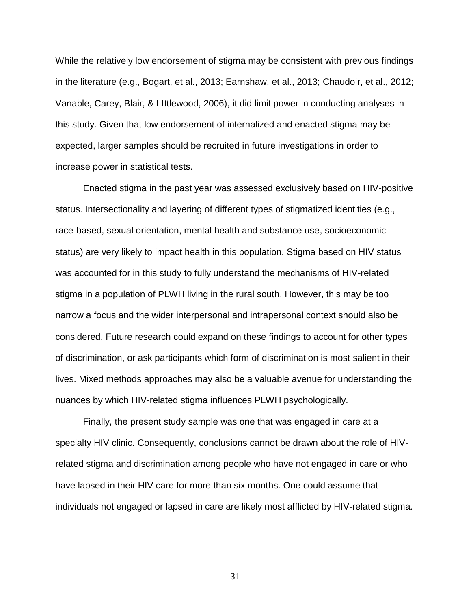While the relatively low endorsement of stigma may be consistent with previous findings in the literature (e.g., Bogart, et al., 2013; Earnshaw, et al., 2013; Chaudoir, et al., 2012; Vanable, Carey, Blair, & LIttlewood, 2006), it did limit power in conducting analyses in this study. Given that low endorsement of internalized and enacted stigma may be expected, larger samples should be recruited in future investigations in order to increase power in statistical tests.

Enacted stigma in the past year was assessed exclusively based on HIV-positive status. Intersectionality and layering of different types of stigmatized identities (e.g., race-based, sexual orientation, mental health and substance use, socioeconomic status) are very likely to impact health in this population. Stigma based on HIV status was accounted for in this study to fully understand the mechanisms of HIV-related stigma in a population of PLWH living in the rural south. However, this may be too narrow a focus and the wider interpersonal and intrapersonal context should also be considered. Future research could expand on these findings to account for other types of discrimination, or ask participants which form of discrimination is most salient in their lives. Mixed methods approaches may also be a valuable avenue for understanding the nuances by which HIV-related stigma influences PLWH psychologically.

Finally, the present study sample was one that was engaged in care at a specialty HIV clinic. Consequently, conclusions cannot be drawn about the role of HIVrelated stigma and discrimination among people who have not engaged in care or who have lapsed in their HIV care for more than six months. One could assume that individuals not engaged or lapsed in care are likely most afflicted by HIV-related stigma.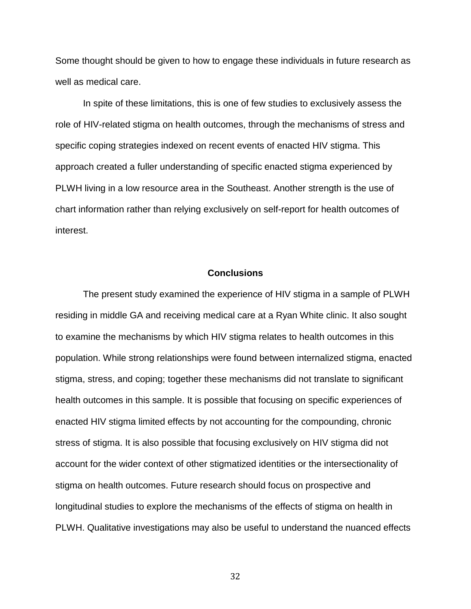Some thought should be given to how to engage these individuals in future research as well as medical care.

In spite of these limitations, this is one of few studies to exclusively assess the role of HIV-related stigma on health outcomes, through the mechanisms of stress and specific coping strategies indexed on recent events of enacted HIV stigma. This approach created a fuller understanding of specific enacted stigma experienced by PLWH living in a low resource area in the Southeast. Another strength is the use of chart information rather than relying exclusively on self-report for health outcomes of interest.

# **Conclusions**

The present study examined the experience of HIV stigma in a sample of PLWH residing in middle GA and receiving medical care at a Ryan White clinic. It also sought to examine the mechanisms by which HIV stigma relates to health outcomes in this population. While strong relationships were found between internalized stigma, enacted stigma, stress, and coping; together these mechanisms did not translate to significant health outcomes in this sample. It is possible that focusing on specific experiences of enacted HIV stigma limited effects by not accounting for the compounding, chronic stress of stigma. It is also possible that focusing exclusively on HIV stigma did not account for the wider context of other stigmatized identities or the intersectionality of stigma on health outcomes. Future research should focus on prospective and longitudinal studies to explore the mechanisms of the effects of stigma on health in PLWH. Qualitative investigations may also be useful to understand the nuanced effects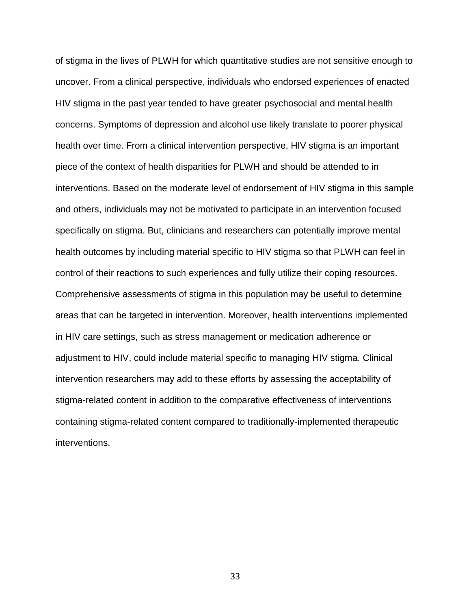of stigma in the lives of PLWH for which quantitative studies are not sensitive enough to uncover. From a clinical perspective, individuals who endorsed experiences of enacted HIV stigma in the past year tended to have greater psychosocial and mental health concerns. Symptoms of depression and alcohol use likely translate to poorer physical health over time. From a clinical intervention perspective, HIV stigma is an important piece of the context of health disparities for PLWH and should be attended to in interventions. Based on the moderate level of endorsement of HIV stigma in this sample and others, individuals may not be motivated to participate in an intervention focused specifically on stigma. But, clinicians and researchers can potentially improve mental health outcomes by including material specific to HIV stigma so that PLWH can feel in control of their reactions to such experiences and fully utilize their coping resources. Comprehensive assessments of stigma in this population may be useful to determine areas that can be targeted in intervention. Moreover, health interventions implemented in HIV care settings, such as stress management or medication adherence or adjustment to HIV, could include material specific to managing HIV stigma. Clinical intervention researchers may add to these efforts by assessing the acceptability of stigma-related content in addition to the comparative effectiveness of interventions containing stigma-related content compared to traditionally-implemented therapeutic interventions.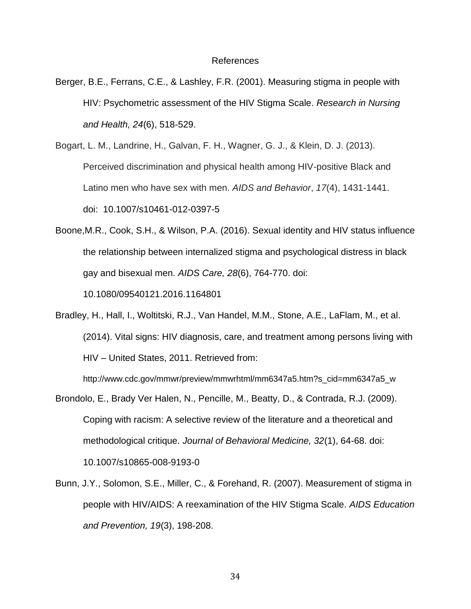#### References

Berger, B.E., Ferrans, C.E., & Lashley, F.R. (2001). Measuring stigma in people with HIV: Psychometric assessment of the HIV Stigma Scale. *Research in Nursing and Health, 24*(6), 518-529.

Bogart, L. M., Landrine, H., Galvan, F. H., Wagner, G. J., & Klein, D. J. (2013). Perceived discrimination and physical health among HIV-positive Black and Latino men who have sex with men. *AIDS and Behavior*, *17*(4), 1431-1441. doi: [10.1007/s10461-012-0397-5](https://dx.doi.org/10.1007%2Fs10461-012-0397-5)

Boone,M.R., Cook, S.H., & Wilson, P.A. (2016). Sexual identity and HIV status influence the relationship between internalized stigma and psychological distress in black gay and bisexual men. *AIDS Care, 28*(6), 764-770. doi: 10.1080/09540121.2016.1164801

Bradley, H., Hall, I., Woltitski, R.J., Van Handel, M.M., Stone, A.E., LaFlam, M., et al. (2014). Vital signs: HIV diagnosis, care, and treatment among persons living with HIV – United States, 2011. Retrieved from:

http://www.cdc.gov/mmwr/preview/mmwrhtml/mm6347a5.htm?s\_cid=mm6347a5\_w

- Brondolo, E., Brady Ver Halen, N., Pencille, M., Beatty, D., & Contrada, R.J. (2009). Coping with racism: A selective review of the literature and a theoretical and methodological critique. *Journal of Behavioral Medicine, 32*(1), 64-68. doi: 10.1007/s10865-008-9193-0
- Bunn, J.Y., Solomon, S.E., Miller, C., & Forehand, R. (2007). Measurement of stigma in people with HIV/AIDS: A reexamination of the HIV Stigma Scale. *AIDS Education and Prevention, 19*(3), 198-208.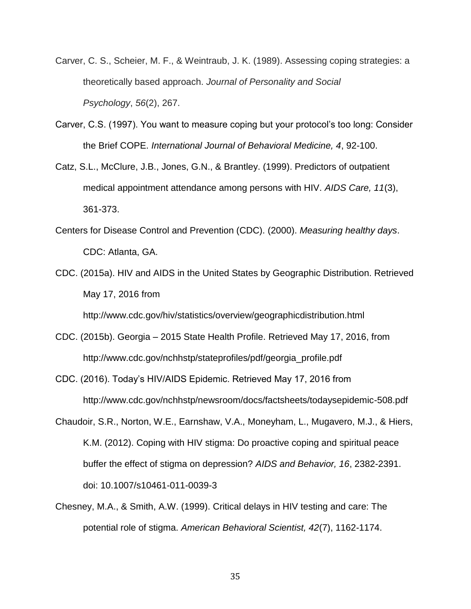- Carver, C. S., Scheier, M. F., & Weintraub, J. K. (1989). Assessing coping strategies: a theoretically based approach. *Journal of Personality and Social Psychology*, *56*(2), 267.
- Carver, C.S. (1997). You want to measure coping but your protocol's too long: Consider the Brief COPE. *International Journal of Behavioral Medicine, 4*, 92-100.
- Catz, S.L., McClure, J.B., Jones, G.N., & Brantley. (1999). Predictors of outpatient medical appointment attendance among persons with HIV. *AIDS Care, 11*(3), 361-373.
- Centers for Disease Control and Prevention (CDC). (2000). *Measuring healthy days*. CDC: Atlanta, GA.
- CDC. (2015a). HIV and AIDS in the United States by Geographic Distribution. Retrieved May 17, 2016 from

http://www.cdc.gov/hiv/statistics/overview/geographicdistribution.html

- CDC. (2015b). Georgia 2015 State Health Profile. Retrieved May 17, 2016, from http://www.cdc.gov/nchhstp/stateprofiles/pdf/georgia\_profile.pdf
- CDC. (2016). Today's HIV/AIDS Epidemic. Retrieved May 17, 2016 from http://www.cdc.gov/nchhstp/newsroom/docs/factsheets/todaysepidemic-508.pdf
- Chaudoir, S.R., Norton, W.E., Earnshaw, V.A., Moneyham, L., Mugavero, M.J., & Hiers, K.M. (2012). Coping with HIV stigma: Do proactive coping and spiritual peace buffer the effect of stigma on depression? *AIDS and Behavior, 16*, 2382-2391. doi: 10.1007/s10461-011-0039-3
- Chesney, M.A., & Smith, A.W. (1999). Critical delays in HIV testing and care: The potential role of stigma. *American Behavioral Scientist, 42*(7), 1162-1174.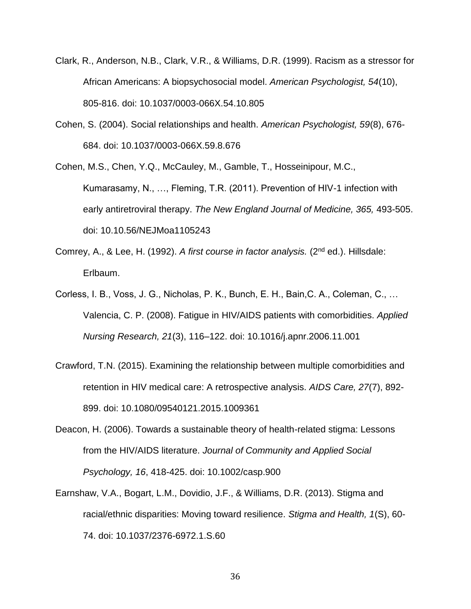- Clark, R., Anderson, N.B., Clark, V.R., & Williams, D.R. (1999). Racism as a stressor for African Americans: A biopsychosocial model. *American Psychologist, 54*(10), 805-816. doi: 10.1037/0003-066X.54.10.805
- Cohen, S. (2004). Social relationships and health. *American Psychologist, 59*(8), 676- 684. doi: 10.1037/0003-066X.59.8.676

Cohen, M.S., Chen, Y.Q., McCauley, M., Gamble, T., Hosseinipour, M.C., Kumarasamy, N., …, Fleming, T.R. (2011). Prevention of HIV-1 infection with early antiretroviral therapy. *The New England Journal of Medicine, 365,* 493-505. doi: 10.10.56/NEJMoa1105243

- Comrey, A., & Lee, H. (1992). *A first course in factor analysis.* (2nd ed.). Hillsdale: Erlbaum.
- Corless, I. B., Voss, J. G., Nicholas, P. K., Bunch, E. H., Bain,C. A., Coleman, C., … Valencia, C. P. (2008). Fatigue in HIV/AIDS patients with comorbidities. *Applied Nursing Research, 21*(3), 116–122. doi: 10.1016/j.apnr.2006.11.001
- Crawford, T.N. (2015). Examining the relationship between multiple comorbidities and retention in HIV medical care: A retrospective analysis. *AIDS Care, 27*(7), 892- 899. doi: 10.1080/09540121.2015.1009361
- Deacon, H. (2006). Towards a sustainable theory of health-related stigma: Lessons from the HIV/AIDS literature. *Journal of Community and Applied Social Psychology, 16*, 418-425. doi: 10.1002/casp.900
- Earnshaw, V.A., Bogart, L.M., Dovidio, J.F., & Williams, D.R. (2013). Stigma and racial/ethnic disparities: Moving toward resilience. *Stigma and Health, 1*(S), 60- 74. doi: 10.1037/2376-6972.1.S.60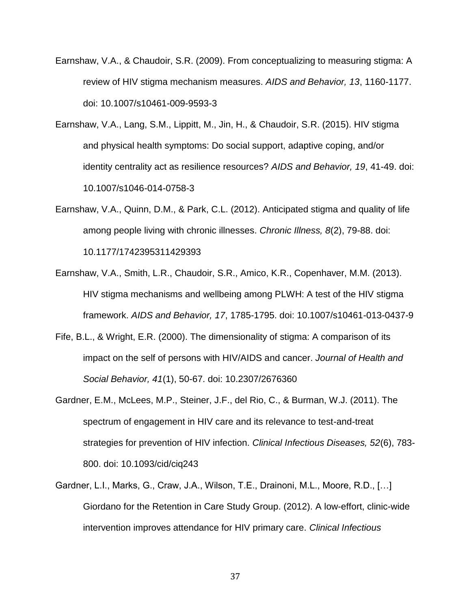- Earnshaw, V.A., & Chaudoir, S.R. (2009). From conceptualizing to measuring stigma: A review of HIV stigma mechanism measures. *AIDS and Behavior, 13*, 1160-1177. doi: 10.1007/s10461-009-9593-3
- Earnshaw, V.A., Lang, S.M., Lippitt, M., Jin, H., & Chaudoir, S.R. (2015). HIV stigma and physical health symptoms: Do social support, adaptive coping, and/or identity centrality act as resilience resources? *AIDS and Behavior, 19*, 41-49. doi: 10.1007/s1046-014-0758-3
- Earnshaw, V.A., Quinn, D.M., & Park, C.L. (2012). Anticipated stigma and quality of life among people living with chronic illnesses. *Chronic Illness, 8*(2), 79-88. doi: 10.1177/1742395311429393
- Earnshaw, V.A., Smith, L.R., Chaudoir, S.R., Amico, K.R., Copenhaver, M.M. (2013). HIV stigma mechanisms and wellbeing among PLWH: A test of the HIV stigma framework. *AIDS and Behavior, 17*, 1785-1795. doi: 10.1007/s10461-013-0437-9
- Fife, B.L., & Wright, E.R. (2000). The dimensionality of stigma: A comparison of its impact on the self of persons with HIV/AIDS and cancer. *Journal of Health and Social Behavior, 41*(1), 50-67. doi: 10.2307/2676360
- Gardner, E.M., McLees, M.P., Steiner, J.F., del Rio, C., & Burman, W.J. (2011). The spectrum of engagement in HIV care and its relevance to test-and-treat strategies for prevention of HIV infection. *Clinical Infectious Diseases, 52*(6), 783- 800. doi: 10.1093/cid/ciq243
- Gardner, L.I., Marks, G., Craw, J.A., Wilson, T.E., Drainoni, M.L., Moore, R.D., […] Giordano for the Retention in Care Study Group. (2012). A low-effort, clinic-wide intervention improves attendance for HIV primary care. *Clinical Infectious*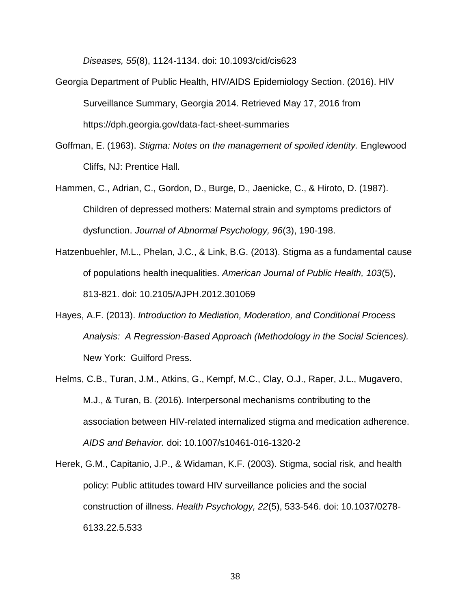*Diseases, 55*(8), 1124-1134. doi: 10.1093/cid/cis623

- Georgia Department of Public Health, HIV/AIDS Epidemiology Section. (2016). HIV Surveillance Summary, Georgia 2014. Retrieved May 17, 2016 from https://dph.georgia.gov/data-fact-sheet-summaries
- Goffman, E. (1963). *Stigma: Notes on the management of spoiled identity.* Englewood Cliffs, NJ: Prentice Hall.
- Hammen, C., Adrian, C., Gordon, D., Burge, D., Jaenicke, C., & Hiroto, D. (1987). Children of depressed mothers: Maternal strain and symptoms predictors of dysfunction. *Journal of Abnormal Psychology, 96*(3), 190-198.
- Hatzenbuehler, M.L., Phelan, J.C., & Link, B.G. (2013). Stigma as a fundamental cause of populations health inequalities. *American Journal of Public Health, 103*(5), 813-821. doi: 10.2105/AJPH.2012.301069
- Hayes, A.F. (2013). *Introduction to Mediation, Moderation, and Conditional Process Analysis: A Regression-Based Approach (Methodology in the Social Sciences).* New York: Guilford Press.
- Helms, C.B., Turan, J.M., Atkins, G., Kempf, M.C., Clay, O.J., Raper, J.L., Mugavero, M.J., & Turan, B. (2016). Interpersonal mechanisms contributing to the association between HIV-related internalized stigma and medication adherence. *AIDS and Behavior.* doi: 10.1007/s10461-016-1320-2
- Herek, G.M., Capitanio, J.P., & Widaman, K.F. (2003). Stigma, social risk, and health policy: Public attitudes toward HIV surveillance policies and the social construction of illness. *Health Psychology, 22*(5), 533-546. doi: 10.1037/0278- 6133.22.5.533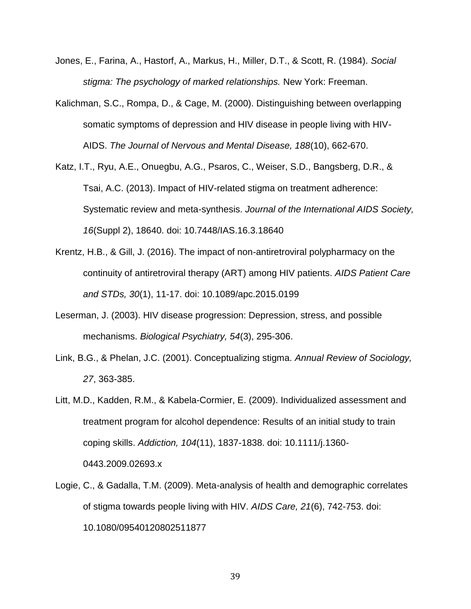- Jones, E., Farina, A., Hastorf, A., Markus, H., Miller, D.T., & Scott, R. (1984). *Social stigma: The psychology of marked relationships.* New York: Freeman.
- Kalichman, S.C., Rompa, D., & Cage, M. (2000). Distinguishing between overlapping somatic symptoms of depression and HIV disease in people living with HIV-AIDS. *The Journal of Nervous and Mental Disease, 188*(10), 662-670.
- Katz, I.T., Ryu, A.E., Onuegbu, A.G., Psaros, C., Weiser, S.D., Bangsberg, D.R., & Tsai, A.C. (2013). Impact of HIV-related stigma on treatment adherence: Systematic review and meta-synthesis. *Journal of the International AIDS Society, 16*(Suppl 2), 18640. doi: 10.7448/IAS.16.3.18640
- Krentz, H.B., & Gill, J. (2016). The impact of non-antiretroviral polypharmacy on the continuity of antiretroviral therapy (ART) among HIV patients. *AIDS Patient Care and STDs, 30*(1), 11-17. doi: 10.1089/apc.2015.0199
- Leserman, J. (2003). HIV disease progression: Depression, stress, and possible mechanisms. *Biological Psychiatry, 54*(3), 295-306.
- Link, B.G., & Phelan, J.C. (2001). Conceptualizing stigma. *Annual Review of Sociology, 27*, 363-385.
- Litt, M.D., Kadden, R.M., & Kabela-Cormier, E. (2009). Individualized assessment and treatment program for alcohol dependence: Results of an initial study to train coping skills. *Addiction, 104*(11), 1837-1838. doi: 10.1111/j.1360- 0443.2009.02693.x
- Logie, C., & Gadalla, T.M. (2009). Meta-analysis of health and demographic correlates of stigma towards people living with HIV. *AIDS Care, 21*(6), 742-753. doi: 10.1080/09540120802511877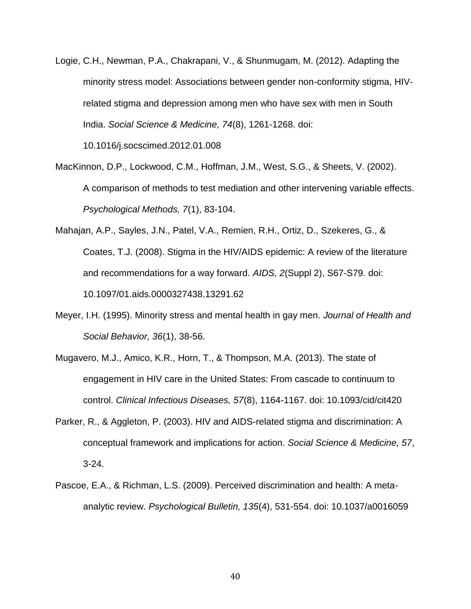Logie, C.H., Newman, P.A., Chakrapani, V., & Shunmugam, M. (2012). Adapting the minority stress model: Associations between gender non-conformity stigma, HIVrelated stigma and depression among men who have sex with men in South India. *Social Science & Medicine, 74*(8), 1261-1268. doi:

10.1016/j.socscimed.2012.01.008

- MacKinnon, D.P., Lockwood, C.M., Hoffman, J.M., West, S.G., & Sheets, V. (2002). A comparison of methods to test mediation and other intervening variable effects. *Psychological Methods, 7*(1), 83-104.
- Mahajan, A.P., Sayles, J.N., Patel, V.A., Remien, R.H., Ortiz, D., Szekeres, G., & Coates, T.J. (2008). Stigma in the HIV/AIDS epidemic: A review of the literature and recommendations for a way forward. *AIDS, 2*(Suppl 2), S67-S79. doi: 10.1097/01.aids.0000327438.13291.62
- Meyer, I.H. (1995). Minority stress and mental health in gay men. *Journal of Health and Social Behavior, 36*(1), 38-56.
- Mugavero, M.J., Amico, K.R., Horn, T., & Thompson, M.A. (2013). The state of engagement in HIV care in the United States: From cascade to continuum to control. *Clinical Infectious Diseases, 57*(8), 1164-1167. doi: 10.1093/cid/cit420
- Parker, R., & Aggleton, P. (2003). HIV and AIDS-related stigma and discrimination: A conceptual framework and implications for action. *Social Science & Medicine, 57*, 3-24.
- Pascoe, E.A., & Richman, L.S. (2009). Perceived discrimination and health: A metaanalytic review. *Psychological Bulletin, 135*(4), 531-554. doi: 10.1037/a0016059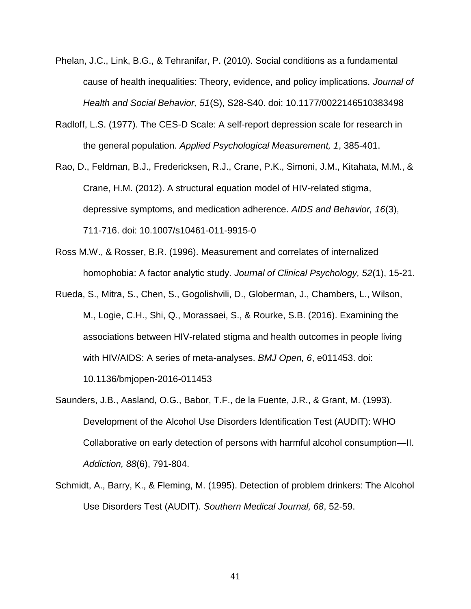- Phelan, J.C., Link, B.G., & Tehranifar, P. (2010). Social conditions as a fundamental cause of health inequalities: Theory, evidence, and policy implications. *Journal of Health and Social Behavior, 51*(S), S28-S40. doi: 10.1177/0022146510383498
- Radloff, L.S. (1977). The CES-D Scale: A self-report depression scale for research in the general population. *Applied Psychological Measurement, 1*, 385-401.
- Rao, D., Feldman, B.J., Fredericksen, R.J., Crane, P.K., Simoni, J.M., Kitahata, M.M., & Crane, H.M. (2012). A structural equation model of HIV-related stigma, depressive symptoms, and medication adherence. *AIDS and Behavior, 16*(3), 711-716. doi: 10.1007/s10461-011-9915-0
- Ross M.W., & Rosser, B.R. (1996). Measurement and correlates of internalized homophobia: A factor analytic study. *Journal of Clinical Psychology, 52*(1), 15-21.
- Rueda, S., Mitra, S., Chen, S., Gogolishvili, D., Globerman, J., Chambers, L., Wilson, M., Logie, C.H., Shi, Q., Morassaei, S., & Rourke, S.B. (2016). Examining the associations between HIV-related stigma and health outcomes in people living with HIV/AIDS: A series of meta-analyses. *BMJ Open, 6*, e011453. doi:

10.1136/bmjopen-2016-011453

- Saunders, J.B., Aasland, O.G., Babor, T.F., de la Fuente, J.R., & Grant, M. (1993). Development of the Alcohol Use Disorders Identification Test (AUDIT): WHO Collaborative on early detection of persons with harmful alcohol consumption—II. *Addiction, 88*(6), 791-804.
- Schmidt, A., Barry, K., & Fleming, M. (1995). Detection of problem drinkers: The Alcohol Use Disorders Test (AUDIT). *Southern Medical Journal, 68*, 52-59.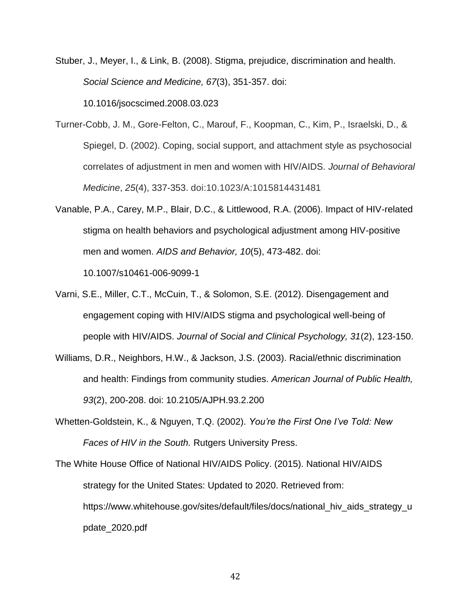- Stuber, J., Meyer, I., & Link, B. (2008). Stigma, prejudice, discrimination and health. *Social Science and Medicine, 67*(3), 351-357. doi: 10.1016/jsocscimed.2008.03.023
- Turner-Cobb, J. M., Gore-Felton, C., Marouf, F., Koopman, C., Kim, P., Israelski, D., & Spiegel, D. (2002). Coping, social support, and attachment style as psychosocial correlates of adjustment in men and women with HIV/AIDS. *Journal of Behavioral Medicine*, *25*(4), 337-353. doi:10.1023/A:1015814431481
- Vanable, P.A., Carey, M.P., Blair, D.C., & Littlewood, R.A. (2006). Impact of HIV-related stigma on health behaviors and psychological adjustment among HIV-positive men and women. *AIDS and Behavior, 10*(5), 473-482. doi: 10.1007/s10461-006-9099-1
- Varni, S.E., Miller, C.T., McCuin, T., & Solomon, S.E. (2012). Disengagement and engagement coping with HIV/AIDS stigma and psychological well-being of people with HIV/AIDS. *Journal of Social and Clinical Psychology, 31*(2), 123-150.
- Williams, D.R., Neighbors, H.W., & Jackson, J.S. (2003). Racial/ethnic discrimination and health: Findings from community studies. *American Journal of Public Health, 93*(2), 200-208. doi: 10.2105/AJPH.93.2.200
- Whetten-Goldstein, K., & Nguyen, T.Q. (2002). *You're the First One I've Told: New Faces of HIV in the South.* Rutgers University Press.
- The White House Office of National HIV/AIDS Policy. (2015). National HIV/AIDS strategy for the United States: Updated to 2020. Retrieved from: [https://www.whitehouse.gov/sites/default/files/docs/national\\_hiv\\_aids\\_strategy\\_u](https://www.whitehouse.gov/sites/default/files/docs/national_hiv_aids_strategy_update_) [pdate\\_2](https://www.whitehouse.gov/sites/default/files/docs/national_hiv_aids_strategy_update_)020.pdf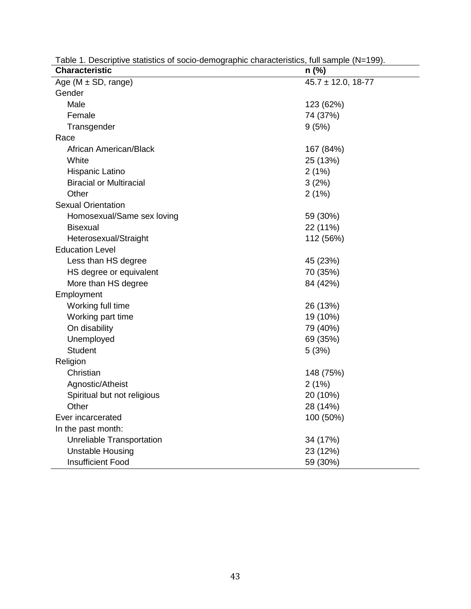| <b>Characteristic</b>                | $n$ (%)                |
|--------------------------------------|------------------------|
| $\overline{Age}$ (M $\pm$ SD, range) | $45.7 \pm 12.0, 18-77$ |
| Gender                               |                        |
| Male                                 | 123 (62%)              |
| Female                               | 74 (37%)               |
| Transgender                          | 9(5%)                  |
| Race                                 |                        |
| African American/Black               | 167 (84%)              |
| White                                | 25 (13%)               |
| Hispanic Latino                      | 2(1%)                  |
| <b>Biracial or Multiracial</b>       | 3(2%)                  |
| Other                                | 2(1%)                  |
| <b>Sexual Orientation</b>            |                        |
| Homosexual/Same sex loving           | 59 (30%)               |
| <b>Bisexual</b>                      | 22 (11%)               |
| Heterosexual/Straight                | 112 (56%)              |
| <b>Education Level</b>               |                        |
| Less than HS degree                  | 45 (23%)               |
| HS degree or equivalent              | 70 (35%)               |
| More than HS degree                  | 84 (42%)               |
| Employment                           |                        |
| Working full time                    | 26 (13%)               |
| Working part time                    | 19 (10%)               |
| On disability                        | 79 (40%)               |
| Unemployed                           | 69 (35%)               |
| <b>Student</b>                       | 5(3%)                  |
| Religion                             |                        |
| Christian                            | 148 (75%)              |
| Agnostic/Atheist                     | 2(1%)                  |
| Spiritual but not religious          | 20 (10%)               |
| Other                                | 28 (14%)               |
| Ever incarcerated                    | 100 (50%)              |
| In the past month:                   |                        |
| Unreliable Transportation            | 34 (17%)               |
| <b>Unstable Housing</b>              | 23 (12%)               |
| <b>Insufficient Food</b>             | 59 (30%)               |

Table 1. Descriptive statistics of socio-demographic characteristics, full sample (N=199).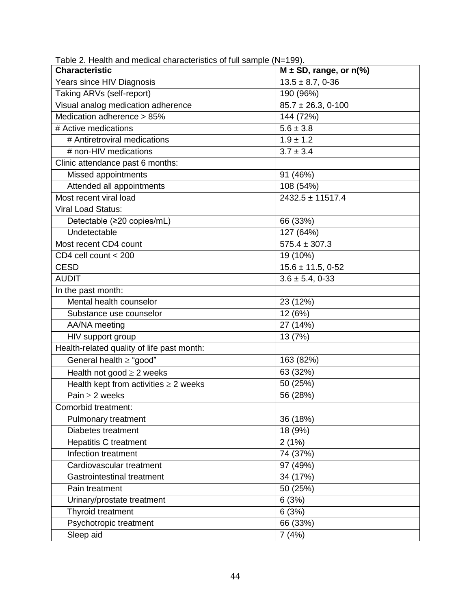| Table 2. Health and medical characteristics of full sample (N=199). |                             |
|---------------------------------------------------------------------|-----------------------------|
| <b>Characteristic</b>                                               | $M \pm SD$ , range, or n(%) |
| Years since HIV Diagnosis                                           | $13.5 \pm 8.7, 0.36$        |
| Taking ARVs (self-report)                                           | 190 (96%)                   |
| Visual analog medication adherence                                  | $85.7 \pm 26.3, 0-100$      |
| Medication adherence > 85%                                          | 144 (72%)                   |
| # Active medications                                                | $5.6 \pm 3.8$               |
| # Antiretroviral medications                                        | $1.9 \pm 1.2$               |
| # non-HIV medications                                               | $3.7 \pm 3.4$               |
| Clinic attendance past 6 months:                                    |                             |
| Missed appointments                                                 | 91 (46%)                    |
| Attended all appointments                                           | 108 (54%)                   |
| Most recent viral load                                              | $2432.5 \pm 11517.4$        |
| <b>Viral Load Status:</b>                                           |                             |
| Detectable (≥20 copies/mL)                                          | 66 (33%)                    |
| Undetectable                                                        | 127 (64%)                   |
| Most recent CD4 count                                               | $575.4 \pm 307.3$           |
| CD4 cell count < 200                                                | 19 (10%)                    |
| <b>CESD</b>                                                         | $15.6 \pm 11.5, 0.52$       |
| <b>AUDIT</b>                                                        | $3.6 \pm 5.4, 0.33$         |
| In the past month:                                                  |                             |
| Mental health counselor                                             | 23 (12%)                    |
| Substance use counselor                                             | $\overline{1}2(6%)$         |
| AA/NA meeting                                                       | 27 (14%)                    |
| HIV support group                                                   | 13 (7%)                     |
| Health-related quality of life past month:                          |                             |
| General health ≥ "good"                                             | 163 (82%)                   |
| Health not good $\geq 2$ weeks                                      | 63 (32%)                    |
| Health kept from activities $\geq 2$ weeks                          | 50 (25%)                    |
| Pain $\geq$ 2 weeks                                                 | 56 (28%)                    |
| Comorbid treatment:                                                 |                             |
| Pulmonary treatment                                                 | 36 (18%)                    |
| Diabetes treatment                                                  | 18 (9%)                     |
| Hepatitis C treatment                                               | 2(1%)                       |
| Infection treatment                                                 | 74 (37%)                    |
| Cardiovascular treatment                                            | 97 (49%)                    |
| Gastrointestinal treatment                                          | 34 (17%)                    |
| Pain treatment                                                      | 50 (25%)                    |
| Urinary/prostate treatment                                          | 6(3%)                       |
| Thyroid treatment                                                   | 6(3%)                       |
| Psychotropic treatment                                              | 66 (33%)                    |
| Sleep aid                                                           | 7(4%)                       |

Table 2. Health and medical characteristics of full sample (N=199).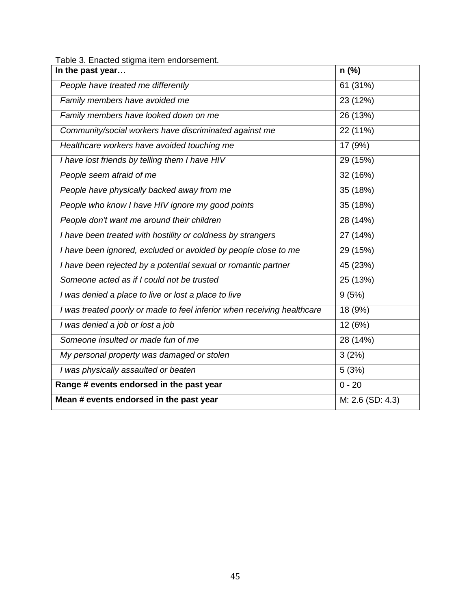|  | Table 3. Enacted stigma item endorsement. |  |  |
|--|-------------------------------------------|--|--|
|--|-------------------------------------------|--|--|

| In the past year                                                        | $n$ (%)          |
|-------------------------------------------------------------------------|------------------|
| People have treated me differently                                      | 61 (31%)         |
| Family members have avoided me                                          | 23 (12%)         |
| Family members have looked down on me                                   | 26 (13%)         |
| Community/social workers have discriminated against me                  | 22 (11%)         |
| Healthcare workers have avoided touching me                             | 17 (9%)          |
| I have lost friends by telling them I have HIV                          | 29 (15%)         |
| People seem afraid of me                                                | 32 (16%)         |
| People have physically backed away from me                              | 35 (18%)         |
| People who know I have HIV ignore my good points                        | 35 (18%)         |
| People don't want me around their children                              | 28 (14%)         |
| I have been treated with hostility or coldness by strangers             | 27 (14%)         |
| I have been ignored, excluded or avoided by people close to me          | 29 (15%)         |
| I have been rejected by a potential sexual or romantic partner          | 45 (23%)         |
| Someone acted as if I could not be trusted                              | 25 (13%)         |
| I was denied a place to live or lost a place to live                    | 9(5%)            |
| I was treated poorly or made to feel inferior when receiving healthcare | 18 (9%)          |
| I was denied a job or lost a job                                        | 12 (6%)          |
| Someone insulted or made fun of me                                      | 28 (14%)         |
| My personal property was damaged or stolen                              | 3(2%)            |
| I was physically assaulted or beaten                                    | 5(3%)            |
| Range # events endorsed in the past year                                | $0 - 20$         |
| Mean # events endorsed in the past year                                 | M: 2.6 (SD: 4.3) |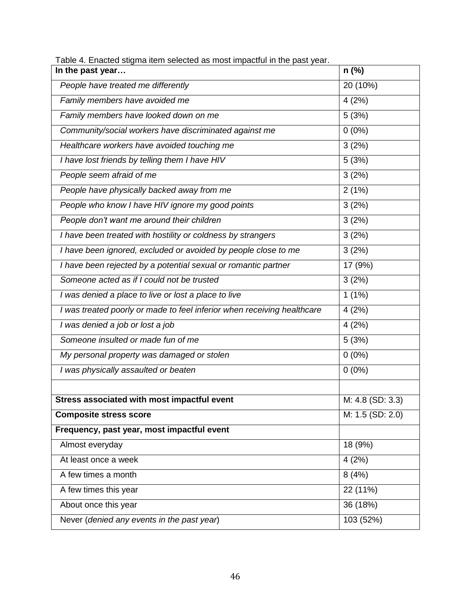| rable 4. Eriacted stighta item selected as most impactuurin the past year.<br>In the past year | $n$ (%)          |
|------------------------------------------------------------------------------------------------|------------------|
| People have treated me differently                                                             | 20 (10%)         |
| Family members have avoided me                                                                 | 4(2%)            |
| Family members have looked down on me                                                          | 5(3%)            |
| Community/social workers have discriminated against me                                         | $0(0\%)$         |
| Healthcare workers have avoided touching me                                                    | 3(2%)            |
| I have lost friends by telling them I have HIV                                                 | 5(3%)            |
| People seem afraid of me                                                                       | 3(2%)            |
| People have physically backed away from me                                                     | 2(1%)            |
| People who know I have HIV ignore my good points                                               | 3(2%)            |
| People don't want me around their children                                                     | 3(2%)            |
| I have been treated with hostility or coldness by strangers                                    | 3(2%)            |
| I have been ignored, excluded or avoided by people close to me                                 | 3(2%)            |
| I have been rejected by a potential sexual or romantic partner                                 | 17 (9%)          |
| Someone acted as if I could not be trusted                                                     | 3(2%)            |
| I was denied a place to live or lost a place to live                                           | $1(1\%)$         |
| I was treated poorly or made to feel inferior when receiving healthcare                        | 4(2%)            |
| I was denied a job or lost a job                                                               | 4(2%)            |
| Someone insulted or made fun of me                                                             | 5(3%)            |
| My personal property was damaged or stolen                                                     | $0(0\%)$         |
| I was physically assaulted or beaten                                                           | $0(0\%)$         |
|                                                                                                |                  |
| Stress associated with most impactful event                                                    | M: 4.8 (SD: 3.3) |
| <b>Composite stress score</b>                                                                  | M: 1.5 (SD: 2.0) |
| Frequency, past year, most impactful event                                                     |                  |
| Almost everyday                                                                                | 18 (9%)          |
| At least once a week                                                                           | 4(2%)            |
| A few times a month                                                                            | 8(4%)            |
| A few times this year                                                                          | 22 (11%)         |
| About once this year                                                                           | 36 (18%)         |
| Never (denied any events in the past year)                                                     | 103 (52%)        |

Table 4. Enacted stigma item selected as most impactful in the past year.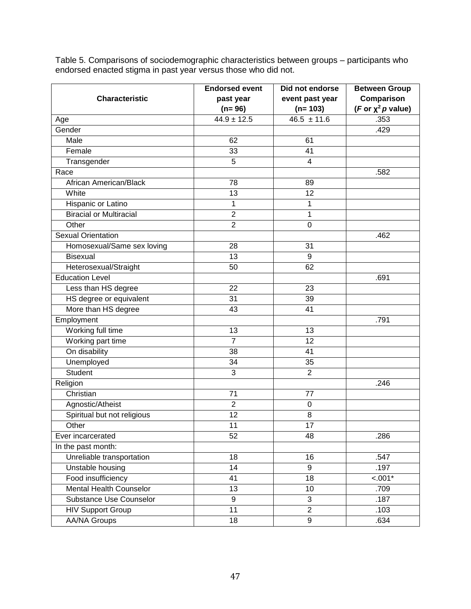Table 5. Comparisons of sociodemographic characteristics between groups – participants who endorsed enacted stigma in past year versus those who did not.

|                                | <b>Endorsed event</b> | Did not endorse | <b>Between Group</b>    |
|--------------------------------|-----------------------|-----------------|-------------------------|
| <b>Characteristic</b>          | past year             | event past year | Comparison              |
|                                | $(n=96)$              | $(n=103)$       | (F or $\chi^2$ p value) |
| Age                            | $44.9 \pm 12.5$       | $46.5 \pm 11.6$ | .353                    |
| Gender                         |                       |                 | .429                    |
| Male                           | 62                    | 61              |                         |
| Female                         | 33                    | 41              |                         |
| Transgender                    | 5                     | $\overline{4}$  |                         |
| Race                           |                       |                 | .582                    |
| African American/Black         | 78                    | 89              |                         |
| White                          | 13                    | 12              |                         |
| Hispanic or Latino             | 1                     | 1               |                         |
| <b>Biracial or Multiracial</b> | $\overline{2}$        | 1               |                         |
| Other                          | $\overline{2}$        | $\mathbf 0$     |                         |
| Sexual Orientation             |                       |                 | .462                    |
| Homosexual/Same sex loving     | 28                    | 31              |                         |
| Bisexual                       | 13                    | 9               |                         |
| Heterosexual/Straight          | 50                    | 62              |                         |
| <b>Education Level</b>         |                       |                 | .691                    |
| Less than HS degree            | 22                    | 23              |                         |
| HS degree or equivalent        | 31                    | 39              |                         |
| More than HS degree            | 43                    | 41              |                         |
| Employment                     |                       |                 | .791                    |
| Working full time              | 13                    | 13              |                         |
| Working part time              | $\overline{7}$        | 12              |                         |
| On disability                  | 38                    | 41              |                         |
| Unemployed                     | 34                    | 35              |                         |
| <b>Student</b>                 | 3                     | $\overline{2}$  |                         |
| Religion                       |                       |                 | .246                    |
| Christian                      | 71                    | 77              |                         |
| Agnostic/Atheist               | $\overline{c}$        | $\mathbf 0$     |                         |
| Spiritual but not religious    | $\overline{12}$       | 8               |                         |
| Other                          | 11                    | 17              |                         |
| Ever incarcerated              | 52                    | 48              | .286                    |
| In the past month:             |                       |                 |                         |
| Unreliable transportation      | 18                    | 16              | .547                    |
| Unstable housing               | 14                    | 9               | .197                    |
| Food insufficiency             | $\overline{41}$       | $\overline{18}$ | $\overline{<.001*}$     |
| <b>Mental Health Counselor</b> | 13                    | 10              | .709                    |
| Substance Use Counselor        | 9                     | 3               | .187                    |
| <b>HIV Support Group</b>       | 11                    | $\overline{2}$  | .103                    |
| <b>AA/NA Groups</b>            | $\overline{18}$       | $\overline{9}$  | .634                    |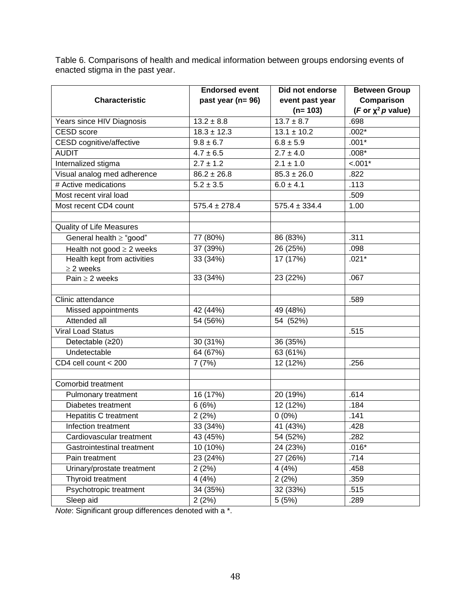Table 6. Comparisons of health and medical information between groups endorsing events of enacted stigma in the past year.

|                                | <b>Endorsed event</b> | Did not endorse   | <b>Between Group</b>    |  |
|--------------------------------|-----------------------|-------------------|-------------------------|--|
| <b>Characteristic</b>          | past year (n= 96)     | event past year   | Comparison              |  |
|                                |                       | $(n=103)$         | (F or $\chi^2$ p value) |  |
| Years since HIV Diagnosis      | $13.2 \pm 8.8$        | $13.7 \pm 8.7$    | .698                    |  |
| <b>CESD</b> score              | $18.3 \pm 12.3$       | $13.1 \pm 10.2$   | $.002*$                 |  |
| CESD cognitive/affective       | $\frac{1}{9.8}$ ± 6.7 | $6.8 \pm 5.9$     | $.001*$                 |  |
| <b>AUDIT</b>                   | $4.7 \pm 6.5$         | $2.7 \pm 4.0$     | $.008*$                 |  |
| Internalized stigma            | $2.7 \pm 1.2$         | $2.1 \pm 1.0$     | $< .001*$               |  |
| Visual analog med adherence    | $86.2 \pm 26.8$       | $85.3 \pm 26.0$   | .822                    |  |
| # Active medications           | $5.2 \pm 3.5$         | $6.0 \pm 4.1$     | .113                    |  |
| Most recent viral load         |                       |                   | .509                    |  |
| Most recent CD4 count          | $575.4 \pm 278.4$     | $575.4 \pm 334.4$ | 1.00                    |  |
|                                |                       |                   |                         |  |
| Quality of Life Measures       |                       |                   |                         |  |
| General health $\geq$ "good"   | 77 (80%)              | 86 (83%)          | .311                    |  |
| Health not good $\geq 2$ weeks | 37 (39%)              | 26 (25%)          | .098                    |  |
| Health kept from activities    | 33 (34%)              | 17 (17%)          | $.021*$                 |  |
| $\geq$ 2 weeks                 |                       |                   |                         |  |
| Pain $\geq$ 2 weeks            | 33 (34%)              | 23 (22%)          | .067                    |  |
|                                |                       |                   |                         |  |
| Clinic attendance              |                       |                   | .589                    |  |
| Missed appointments            | 42 (44%)              | 49 (48%)          |                         |  |
| Attended all                   | 54 (56%)              | 54 (52%)          |                         |  |
| <b>Viral Load Status</b>       |                       |                   | .515                    |  |
| Detectable (≥20)               | 30 (31%)              | 36 (35%)          |                         |  |
| Undetectable                   | 64 (67%)              | 63 (61%)          |                         |  |
| CD4 cell count < 200           | 7(7%)                 | 12 (12%)          | .256                    |  |
|                                |                       |                   |                         |  |
| Comorbid treatment             |                       |                   |                         |  |
| Pulmonary treatment            | 16 (17%)              | 20 (19%)          | .614                    |  |
| Diabetes treatment             | 6(6%)                 | 12 (12%)          | .184                    |  |
| <b>Hepatitis C treatment</b>   | 2(2%)                 | $0(0\%)$          | .141                    |  |
| Infection treatment            | 33 (34%)              | 41 (43%)          | .428                    |  |
| Cardiovascular treatment       | 43 (45%)              | 54 (52%)          | .282                    |  |
| Gastrointestinal treatment     | 10 (10%)              | 24 (23%)          | $.016*$                 |  |
| Pain treatment                 | 23 (24%)              | 27 (26%)          | .714                    |  |
| Urinary/prostate treatment     | 2(2%)                 | 4(4%)             | .458                    |  |
| Thyroid treatment              | 4(4%)                 | 2(2%)             | .359                    |  |
| Psychotropic treatment         | 34 (35%)              | 32 (33%)          | .515                    |  |
| Sleep aid                      | 2(2%)                 | 5(5%)             | .289                    |  |

*Note*: Significant group differences denoted with a \*.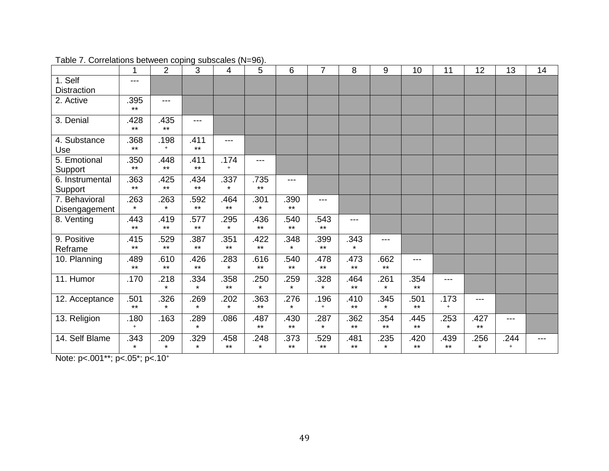|                                | 1               | $\overline{2}$  | 3               | 4               | 5               | 6               | $\overline{7}$  | 8               | 9               | 10            | 11              | 12              | 13          | 14 |
|--------------------------------|-----------------|-----------------|-----------------|-----------------|-----------------|-----------------|-----------------|-----------------|-----------------|---------------|-----------------|-----------------|-------------|----|
| 1. Self<br><b>Distraction</b>  | $---$           |                 |                 |                 |                 |                 |                 |                 |                 |               |                 |                 |             |    |
| 2. Active                      | .395<br>$***$   | ---             |                 |                 |                 |                 |                 |                 |                 |               |                 |                 |             |    |
| 3. Denial                      | .428<br>$***$   | .435<br>$***$   | ---             |                 |                 |                 |                 |                 |                 |               |                 |                 |             |    |
| 4. Substance<br>Use            | 368<br>$***$    | .198<br>$+$     | .411<br>$***$   | $---$           |                 |                 |                 |                 |                 |               |                 |                 |             |    |
| 5. Emotional<br>Support        | .350<br>$***$   | 448<br>$***$    | .411<br>$***$   | .174<br>$+$     | ---             |                 |                 |                 |                 |               |                 |                 |             |    |
| 6. Instrumental<br>Support     | .363<br>$***$   | .425<br>$***$   | .434<br>$***$   | .337<br>$\star$ | .735<br>$***$   | $---$           |                 |                 |                 |               |                 |                 |             |    |
| 7. Behavioral<br>Disengagement | .263<br>$\star$ | .263<br>$\star$ | .592<br>$***$   | .464<br>$***$   | .301<br>$\star$ | .390<br>$***$   | ---             |                 |                 |               |                 |                 |             |    |
| 8. Venting                     | .443<br>$***$   | .419<br>$***$   | .577<br>$***$   | .295<br>$\star$ | .436<br>$***$   | .540<br>$***$   | .543<br>$***$   | ---             |                 |               |                 |                 |             |    |
| 9. Positive<br>Reframe         | .415<br>$***$   | .529<br>$***$   | .387<br>$**$    | .351<br>$***$   | .422<br>$***$   | .348<br>$\star$ | .399<br>$***$   | .343<br>$\star$ | $---$           |               |                 |                 |             |    |
| 10. Planning                   | .489<br>$***$   | .610<br>$***$   | .426<br>$***$   | .283<br>$\star$ | .616<br>$***$   | 540<br>$***$    | 478<br>$***$    | .473<br>$***$   | .662<br>$***$   | ---           |                 |                 |             |    |
| 11. Humor                      | .170            | .218<br>$\star$ | .334<br>$\star$ | .358<br>$***$   | .250<br>$\star$ | .259<br>$\star$ | 328<br>$\star$  | .464<br>$***$   | .261<br>$\star$ | .354<br>$***$ | $---$           |                 |             |    |
| 12. Acceptance                 | .501<br>$***$   | .326<br>$\star$ | .269<br>$\star$ | .202<br>$\star$ | .363<br>$***$   | .276<br>$\star$ | 196<br>$+$      | .410<br>$***$   | .345<br>$\star$ | .501<br>$***$ | .173<br>$+$     | ---             |             |    |
| 13. Religion                   | .180<br>$+$     | .163            | .289<br>$\star$ | .086            | .487<br>$***$   | .430<br>$***$   | .287<br>$\star$ | .362<br>$***$   | .354<br>$***$   | .445<br>$***$ | .253<br>$\star$ | .427<br>$***$   | $---$       |    |
| 14. Self Blame                 | .343<br>$\star$ | .209<br>$\star$ | .329<br>$\star$ | .458<br>$***$   | .248<br>$\star$ | .373<br>$***$   | 529<br>$***$    | .481<br>$***$   | .235<br>$\star$ | .420<br>$***$ | .439<br>$***$   | .256<br>$\star$ | .244<br>$+$ |    |

Table 7. Correlations between coping subscales (N=96).

Note: p<.001\*\*; p<.05\*; p<.10+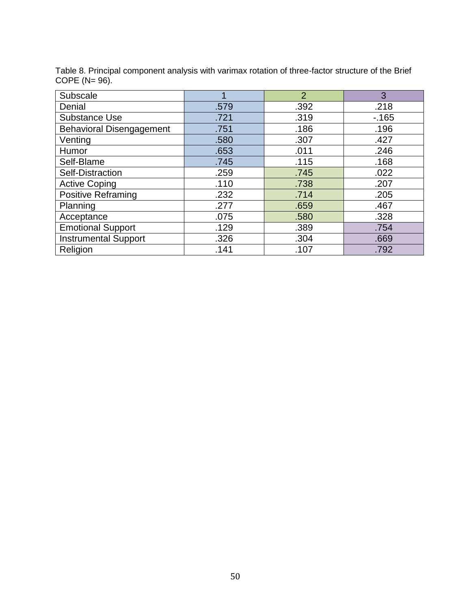| Subscale                        |      | $\overline{2}$ | 3      |
|---------------------------------|------|----------------|--------|
| Denial                          | .579 | .392           | .218   |
| <b>Substance Use</b>            | .721 | .319           | $-165$ |
| <b>Behavioral Disengagement</b> | .751 | .186           | .196   |
| Venting                         | .580 | .307           | .427   |
| Humor                           | .653 | .011           | .246   |
| Self-Blame                      | .745 | .115           | .168   |
| Self-Distraction                | .259 | .745           | .022   |
| <b>Active Coping</b>            | .110 | .738           | .207   |
| <b>Positive Reframing</b>       | .232 | .714           | .205   |
| Planning                        | .277 | .659           | .467   |
| Acceptance                      | .075 | .580           | .328   |
| <b>Emotional Support</b>        | .129 | .389           | .754   |
| <b>Instrumental Support</b>     | .326 | .304           | .669   |
| Religion                        | .141 | .107           | .792   |

Table 8. Principal component analysis with varimax rotation of three-factor structure of the Brief COPE (N= 96).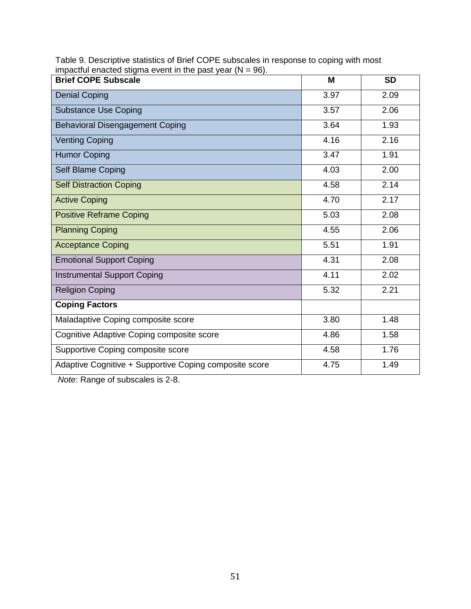| <b>Brief COPE Subscale</b>                             | M    | <b>SD</b> |
|--------------------------------------------------------|------|-----------|
| <b>Denial Coping</b>                                   | 3.97 | 2.09      |
| <b>Substance Use Coping</b>                            | 3.57 | 2.06      |
| <b>Behavioral Disengagement Coping</b>                 | 3.64 | 1.93      |
| <b>Venting Coping</b>                                  | 4.16 | 2.16      |
| <b>Humor Coping</b>                                    | 3.47 | 1.91      |
| Self Blame Coping                                      | 4.03 | 2.00      |
| <b>Self Distraction Coping</b>                         | 4.58 | 2.14      |
| <b>Active Coping</b>                                   | 4.70 | 2.17      |
| <b>Positive Reframe Coping</b>                         | 5.03 | 2.08      |
| <b>Planning Coping</b>                                 | 4.55 | 2.06      |
| <b>Acceptance Coping</b>                               | 5.51 | 1.91      |
| <b>Emotional Support Coping</b>                        | 4.31 | 2.08      |
| <b>Instrumental Support Coping</b>                     | 4.11 | 2.02      |
| <b>Religion Coping</b>                                 | 5.32 | 2.21      |
| <b>Coping Factors</b>                                  |      |           |
| Maladaptive Coping composite score                     | 3.80 | 1.48      |
| Cognitive Adaptive Coping composite score              | 4.86 | 1.58      |
| Supportive Coping composite score                      | 4.58 | 1.76      |
| Adaptive Cognitive + Supportive Coping composite score | 4.75 | 1.49      |

Table 9. Descriptive statistics of Brief COPE subscales in response to coping with most impactful enacted stigma event in the past year  $(N = 96)$ .

*Note*: Range of subscales is 2-8.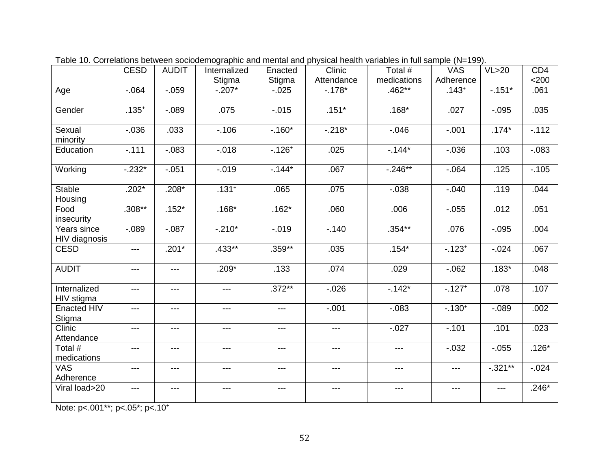|                              | <b>CESD</b> | <b>AUDIT</b>      | Internalized | Enacted   | Clinic            | Total #     | <b>VAS</b>            | VL>20       | CD <sub>4</sub> |
|------------------------------|-------------|-------------------|--------------|-----------|-------------------|-------------|-----------------------|-------------|-----------------|
|                              |             |                   | Stigma       | Stigma    | Attendance        | medications | Adherence             |             | $<$ 200         |
| Age                          | $-0.064$    | $-0.059$          | $-0.207*$    | $-0.025$  | $-.178*$          | $.462**$    | $.143+$               | $-.151*$    | .061            |
| Gender                       | $.135+$     | $-0.089$          | .075         | $-0.015$  | $.151*$           | $.168*$     | .027                  | $-0.095$    | .035            |
| Sexual<br>minority           | $-0.036$    | .033              | $-.106$      | $-.160*$  | $-.218*$          | $-0.046$    | $-.001$               | $.174*$     | $-.112$         |
| Education                    | $-.111$     | $-0.083$          | $-0.018$     | $-.126+$  | .025              | $-144*$     | $-0.036$              | .103        | $-0.083$        |
| Working                      | $-0.232*$   | $-0.051$          | $-0.019$     | $-144*$   | .067              | $-246**$    | $-064$                | .125        | $-.105$         |
| <b>Stable</b><br>Housing     | $.202*$     | $.208*$           | $.131+$      | .065      | .075              | $-0.038$    | $-.040$               | .119        | .044            |
| Food<br>insecurity           | $.308***$   | $.152*$           | $.168*$      | $.162*$   | .060              | .006        | $-0.055$              | .012        | .051            |
| Years since<br>HIV diagnosis | $-0.089$    | $-0.087$          | $-.210*$     | $-0.019$  | $-.140$           | $.354**$    | .076                  | $-0.095$    | .004            |
| <b>CESD</b>                  | $---$       | $.201*$           | $.433**$     | $.359**$  | .035              | $.154*$     | $-0.123$ <sup>+</sup> | $-0.024$    | .067            |
| <b>AUDIT</b>                 | $---$       | $---$             | $.209*$      | .133      | .074              | .029        | $-062$                | $.183*$     | .048            |
| Internalized<br>HIV stigma   | ---         | $\qquad \qquad -$ | $---$        | $.372***$ | $-0.026$          | $-142*$     | $-.127+$              | .078        | .107            |
| Enacted HIV<br>Stigma        | $---$       | $---$             | ---          | $---$     | $-.001$           | $-0.083$    | $-0.130^{+}$          | $-0.089$    | .002            |
| Clinic<br>Attendance         | ---         | ---               | $---$        | ---       | $\qquad \qquad -$ | $-0.027$    | $-.101$               | .101        | .023            |
| Total #<br>medications       | $---$       | $---$             | ---          | $---$     | $---$             | $---$       | $-0.032$              | $-0.055$    | $.126*$         |
| <b>VAS</b><br>Adherence      | ---         | ---               | ---          | $---$     | $---$             | $---$       | $---$                 | $-0.321***$ | $-0.024$        |
| Viral load>20                | $---$       | $---$             | $---$        | $---$     | $---$             | $---$       | $---$                 | $---$       | $.246*$         |

Table 10. Correlations between sociodemographic and mental and physical health variables in full sample (N=199).

Note: p<.001\*\*; p<.05\*; p<.10+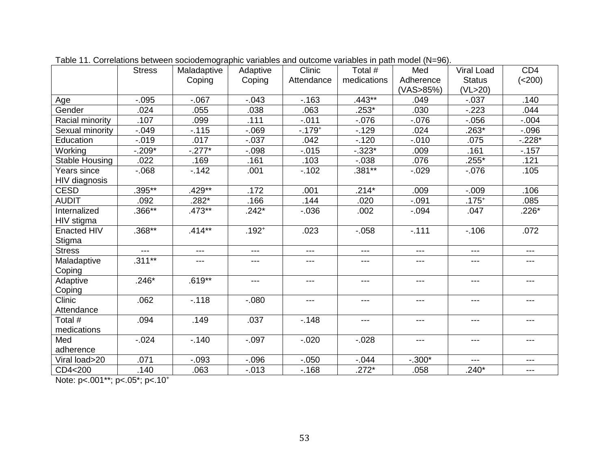|                       | <b>Stress</b> | Maladaptive | Adaptive   | Clinic     | Total #     | Med       | Viral Load    | CD <sub>4</sub>   |  |
|-----------------------|---------------|-------------|------------|------------|-------------|-----------|---------------|-------------------|--|
|                       | Coping        |             | Coping     | Attendance | medications | Adherence | <b>Status</b> | (<200)            |  |
|                       |               |             |            |            |             | (VAS>85%) | (VL>20)       |                   |  |
| Age                   | $-0.095$      | $-067$      | $-0.043$   | $-163$     | $.443**$    | .049      | $-0.37$       | .140              |  |
| Gender                | .024          | .055        | .038       | .063       | $.253*$     | .030      | $-223$        | .044              |  |
| Racial minority       | .107          | .099        | .111       | $-0.011$   | $-0.076$    | $-0.076$  | $-0.056$      | $-0.004$          |  |
| Sexual minority       | $-0.049$      | $-.115$     | $-069$     | $-0.179+$  | $-.129$     | .024      | $.263*$       | $-0.096$          |  |
| Education             | $-0.019$      | .017        | $-0.037$   | .042       | $-.120$     | $-0.010$  | .075          | $-.228*$          |  |
| Working               | $-.209*$      | $-.277*$    | $-0.098$   | $-0.015$   | $-0.323*$   | .009      | .161          | $-157$            |  |
| <b>Stable Housing</b> | .022          | .169        | .161       | .103       | $-.038$     | .076      | $.255*$       | .121              |  |
| Years since           | $-068$        | $-.142$     | .001       | $-.102$    | $.381***$   | $-0.029$  | $-0.076$      | .105              |  |
| HIV diagnosis         |               |             |            |            |             |           |               |                   |  |
| <b>CESD</b>           | $.395***$     | $.429**$    | .172       | .001       | $.214*$     | .009      | $-0.009$      | .106              |  |
| <b>AUDIT</b>          | .092          | $.282*$     | .166       | .144       | .020        | $-0.091$  | $.175+$       | .085              |  |
| Internalized          | $.366**$      | $.473**$    | $.242*$    | $-0.036$   | .002        | $-0.94$   | .047          | $.226*$           |  |
| HIV stigma            |               |             |            |            |             |           |               |                   |  |
| <b>Enacted HIV</b>    | $.368**$      | $.414***$   | $.192^{+}$ | .023       | $-0.058$    | $-.111$   | $-.106$       | .072              |  |
| Stigma                |               |             |            |            |             |           |               |                   |  |
| <b>Stress</b>         | $---$         | $---$       | ---        | ---        | $---$       | $---$     | ---           | $\qquad \qquad -$ |  |
| Maladaptive           | $.311***$     | ---         | ---        | ---        | ---         | ---       | $---$         | ---               |  |
| Coping                |               |             |            |            |             |           |               |                   |  |
| Adaptive              | $.246*$       | $.619**$    | ---        | ---        | $---$       | $---$     | ---           | $---$             |  |
| Coping                |               |             |            |            |             |           |               |                   |  |
| Clinic                | .062          | $-118$      | $-080$     | ---        | $---$       | $---$     | ---           | ---               |  |
| Attendance            |               |             |            |            |             |           |               |                   |  |
| Total #               | .094          | .149        | .037       | $-.148$    | $---$       | $---$     | ---           | $\qquad \qquad -$ |  |
| medications           |               |             |            |            |             |           |               |                   |  |
| Med                   | $-0.024$      | $-.140$     | $-0.97$    | $-0.020$   | $-0.028$    | $---$     | ---           | $---$             |  |
| adherence             |               |             |            |            |             |           |               |                   |  |
| Viral load>20         | .071          | $-0.093$    | $-0.096$   | $-0.050$   | $-0.044$    | $-.300*$  | $---$         | $---$             |  |
| CD4<200               | .140          | .063        | $-0.013$   | $-.168$    | $.272*$     | .058      | $.240*$       | $---$             |  |

Table 11. Correlations between sociodemographic variables and outcome variables in path model (N=96).

Note: p<.001\*\*; p<.05\*; p<.10+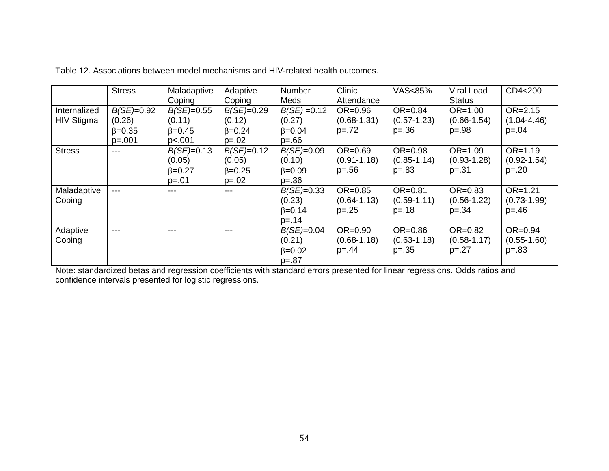|                                   | <b>Stress</b>                                        | Maladaptive<br>Adaptive<br>Coping<br>Coping           |                                                        | <b>Number</b>                                           | Clinic<br>Meds<br>Attendance               |                                              | Viral Load<br><b>Status</b>                 | CD4<200                                      |  |
|-----------------------------------|------------------------------------------------------|-------------------------------------------------------|--------------------------------------------------------|---------------------------------------------------------|--------------------------------------------|----------------------------------------------|---------------------------------------------|----------------------------------------------|--|
| Internalized<br><b>HIV Stigma</b> | $B(SE)=0.92$<br>(0.26)<br>$\beta = 0.35$<br>$p=.001$ | $B(SE)=0.55$<br>(0.11)<br>$\beta = 0.45$<br>p<.001    | $B(SE)=0.29$<br>(0.12)<br>$\beta = 0.24$<br>$p=.02$    | $B(SE) = 0.12$<br>(0.27)<br>$\beta = 0.04$<br>$p = .66$ | $OR = 0.96$<br>$(0.68 - 1.31)$<br>$p = 72$ | $OR = 0.84$<br>$(0.57 - 1.23)$<br>$p = 0.36$ | $OR = 1.00$<br>$(0.66 - 1.54)$<br>$p = .98$ | $OR = 2.15$<br>$(1.04 - 4.46)$<br>$p = 0.04$ |  |
| <b>Stress</b>                     | ---                                                  | $B(SE)=0.13$<br>(0.05)<br>$\beta = 0.27$<br>$p = .01$ | $B(SE)=0.12$<br>(0.05)<br>$\beta = 0.25$<br>$p = 0.02$ | $B(SE)=0.09$<br>(0.10)<br>$\beta = 0.09$<br>$p=.36$     | $OR = 0.69$<br>$(0.91 - 1.18)$<br>$p = 56$ | OR=0.98<br>$(0.85 - 1.14)$<br>$p = .83$      | $OR = 1.09$<br>$(0.93 - 1.28)$<br>$p=.31$   | $OR = 1.19$<br>$(0.92 - 1.54)$<br>$p = 0.20$ |  |
| Maladaptive<br>Coping             | $---$                                                | $---$                                                 | $---$                                                  | $B(SE)=0.33$<br>(0.23)<br>$\beta = 0.14$<br>$p = 14$    | $OR = 0.85$<br>$(0.64 - 1.13)$<br>$p = 25$ | $OR = 0.81$<br>$(0.59 - 1.11)$<br>$p = 18$   | $OR = 0.83$<br>$(0.56 - 1.22)$<br>$p = 34$  | $OR = 1.21$<br>$(0.73 - 1.99)$<br>$p = 46$   |  |
| Adaptive<br>Coping                | ---                                                  | $---$                                                 | ---                                                    | $B(SE)=0.04$<br>(0.21)<br>$\beta = 0.02$<br>$p = .87$   | $OR=0.90$<br>$(0.68 - 1.18)$<br>$p = 44$   | $OR = 0.86$<br>$(0.63 - 1.18)$<br>$p = 35$   | $OR = 0.82$<br>$(0.58 - 1.17)$<br>$p=.27$   | $OR = 0.94$<br>$(0.55 - 1.60)$<br>$p = 83$   |  |

Table 12. Associations between model mechanisms and HIV-related health outcomes.

Note: standardized betas and regression coefficients with standard errors presented for linear regressions. Odds ratios and confidence intervals presented for logistic regressions.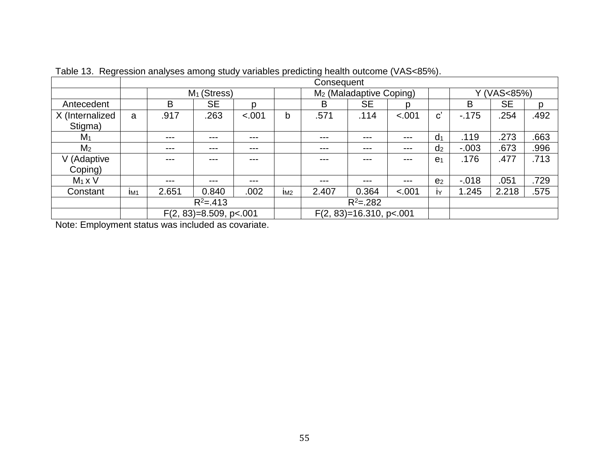| $\overline{\phantom{0}}$ | Consequent      |                           |           |        |                 |                                     |           |        |                       |             |           |      |
|--------------------------|-----------------|---------------------------|-----------|--------|-----------------|-------------------------------------|-----------|--------|-----------------------|-------------|-----------|------|
|                          |                 | $M1$ (Stress)             |           |        |                 | M <sub>2</sub> (Maladaptive Coping) |           |        |                       | Y (VAS<85%) |           |      |
| Antecedent               |                 | B                         | <b>SE</b> | D      |                 | B                                   | <b>SE</b> | D      |                       | B           | <b>SE</b> | D    |
| X (Internalized          | a               | .917                      | .263      | < .001 | b               | .571                                | .114      | < .001 | $\mathbf{c}^{\prime}$ | $-175$      | .254      | .492 |
| Stigma)                  |                 |                           |           |        |                 |                                     |           |        |                       |             |           |      |
| M <sub>1</sub>           |                 | $---$                     | ---       | ---    |                 | ---                                 | ---       | ---    | d <sub>1</sub>        | .119        | .273      | .663 |
| M <sub>2</sub>           |                 | $---$                     | ---       | ---    |                 | ---                                 | $---$     | $-- -$ | d <sub>2</sub>        | $-.003$     | .673      | .996 |
| V (Adaptive              |                 | ---                       |           | ---    |                 | ---                                 | $-- -$    | ---    | e <sub>1</sub>        | .176        | .477      | .713 |
| Coping)                  |                 |                           |           |        |                 |                                     |           |        |                       |             |           |      |
| $M_1 \times V$           |                 | $---$                     | ---       | ---    |                 | ---                                 | $---$     | $-- -$ | e <sub>2</sub>        | $-0.018$    | .051      | .729 |
| Constant                 | IM <sub>1</sub> | 2.651                     | 0.840     | .002   | I <sub>M2</sub> | 2.407                               | 0.364     | < .001 | IY                    | 1.245       | 2.218     | .575 |
|                          |                 | $R^2 = .413$              |           |        |                 | $R^2 = .282$                        |           |        |                       |             |           |      |
|                          |                 | $F(2, 83)=8.509$ , p<.001 |           |        |                 | $F(2, 83)=16.310$ , p<.001          |           |        |                       |             |           |      |

Table 13. Regression analyses among study variables predicting health outcome (VAS<85%).

Note: Employment status was included as covariate.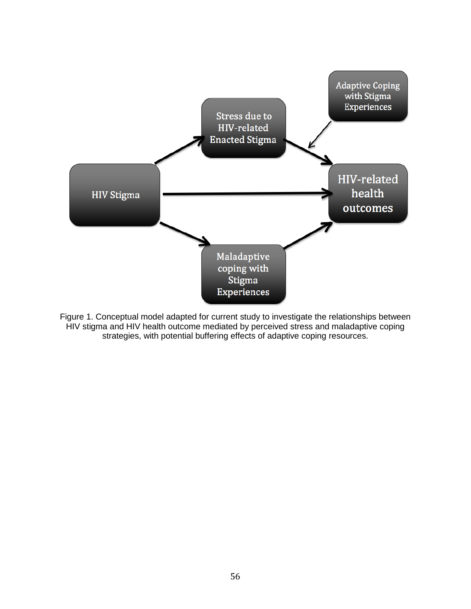

Figure 1. Conceptual model adapted for current study to investigate the relationships between HIV stigma and HIV health outcome mediated by perceived stress and maladaptive coping strategies, with potential buffering effects of adaptive coping resources.